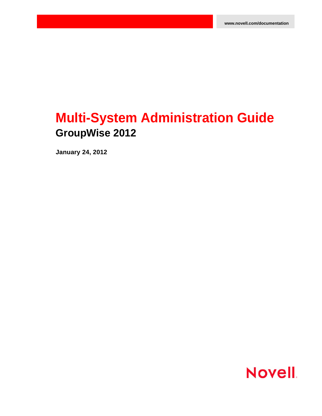# **Multi-System Administration Guide GroupWise 2012**

**January 24, 2012**

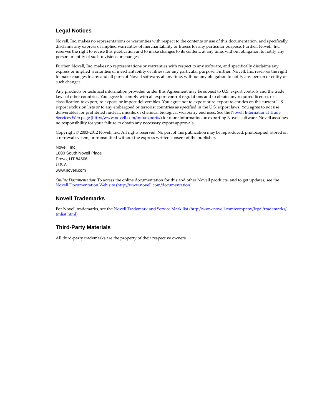#### **Legal Notices**

Novell, Inc. makes no representations or warranties with respect to the contents or use of this documentation, and specifically disclaims any express or implied warranties of merchantability or fitness for any particular purpose. Further, Novell, Inc. reserves the right to revise this publication and to make changes to its content, at any time, without obligation to notify any person or entity of such revisions or changes.

Further, Novell, Inc. makes no representations or warranties with respect to any software, and specifically disclaims any express or implied warranties of merchantability or fitness for any particular purpose. Further, Novell, Inc. reserves the right to make changes to any and all parts of Novell software, at any time, without any obligation to notify any person or entity of such changes.

Any products or technical information provided under this Agreement may be subject to U.S. export controls and the trade laws of other countries. You agree to comply with all export control regulations and to obtain any required licenses or classification to export, re‐export, or import deliverables. You agree not to export or re‐export to entities on the current U.S. export exclusion lists or to any embargoed or terrorist countries as specified in the U.S. export laws. You agree to not use deliverables for prohibited nuclear, missile, or chemical biological weaponry end uses. See the Novell [International](http://www.novell.com/info/exports/) Trade [Services](http://www.novell.com/info/exports/) Web page (http://www.novell.com/info/exports/) for more information on exporting Novell software. Novell assumes no responsibility for your failure to obtain any necessary export approvals.

Copyright © 2003‐2012 Novell, Inc. All rights reserved. No part of this publication may be reproduced, photocopied, stored on a retrieval system, or transmitted without the express written consent of the publisher.

Novell, Inc. 1800 South Novell Place Provo, UT 84606 U.S.A. www.novell.com

*Online Documentation:* To access the online documentation for this and other Novell products, and to get updates, see the Novell [Documentation](http://www.novell.com/documentation) Web site (http://www.novell.com/documentation).

#### **Novell Trademarks**

For Novell trademarks, see the Novell [Trademark](http://www.novell.com/company/legal/trademarks/tmlist.html) and Service Mark list (http://www.novell.com/company/legal/trademarks/ tmlist.html).

#### **Third-Party Materials**

All third‐party trademarks are the property of their respective owners.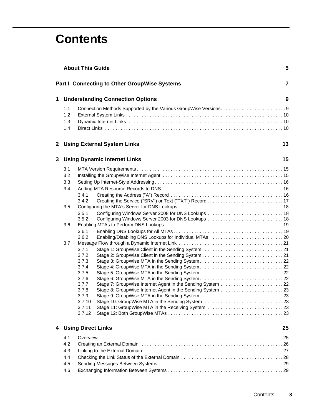# **Contents**

|   |     | <b>About This Guide</b>                                                                                            | 5              |
|---|-----|--------------------------------------------------------------------------------------------------------------------|----------------|
|   |     | <b>Part I Connecting to Other GroupWise Systems</b>                                                                | $\overline{7}$ |
| 1 |     | <b>Understanding Connection Options</b>                                                                            | 9              |
|   | 1.1 |                                                                                                                    |                |
|   | 1.2 |                                                                                                                    |                |
|   | 1.3 |                                                                                                                    |                |
|   | 1.4 |                                                                                                                    |                |
|   |     | 2 Using External System Links                                                                                      | 13             |
| 3 |     | <b>Using Dynamic Internet Links</b>                                                                                | 15             |
|   | 3.1 |                                                                                                                    |                |
|   | 3.2 |                                                                                                                    |                |
|   | 3.3 |                                                                                                                    |                |
|   | 3.4 |                                                                                                                    |                |
|   |     | 3.4.1                                                                                                              |                |
|   |     | 3.4.2                                                                                                              |                |
|   | 3.5 |                                                                                                                    |                |
|   |     | 3.5.1                                                                                                              |                |
|   |     | 3.5.2                                                                                                              |                |
|   | 3.6 | 3.6.1                                                                                                              |                |
|   |     | 3.6.2<br>Enabling/Disabling DNS Lookups for Individual MTAs 20                                                     |                |
|   | 3.7 |                                                                                                                    |                |
|   |     | 3.7.1                                                                                                              |                |
|   |     | 3.7.2                                                                                                              |                |
|   |     | Stage 3: GroupWise MTA in the Sending System22<br>3.7.3                                                            |                |
|   |     | Stage 4: GroupWise MTA in the Sending System22<br>3.7.4                                                            |                |
|   |     | 3.7.5<br>Stage 5: GroupWise MTA in the Sending System22<br>3.7.6<br>Stage 6: GroupWise MTA in the Sending System22 |                |
|   |     | 3.7.7<br>Stage 7: GroupWise Internet Agent in the Sending System 22                                                |                |
|   |     | Stage 8: GroupWise Internet Agent in the Sending System 23<br>3.7.8                                                |                |
|   |     | 3.7.9                                                                                                              |                |
|   |     | 3.7.10                                                                                                             |                |
|   |     | Stage 11: GroupWise MTA in the Receiving System 23<br>3.7.11                                                       |                |
|   |     | 3.7.12                                                                                                             |                |
| 4 |     | <b>Using Direct Links</b>                                                                                          | 25             |
|   | 4.1 |                                                                                                                    |                |
|   | 4.2 |                                                                                                                    |                |
|   | 4.3 |                                                                                                                    |                |
|   | 4.4 |                                                                                                                    |                |
|   | 4.5 |                                                                                                                    |                |
|   | 4.6 |                                                                                                                    |                |
|   |     |                                                                                                                    |                |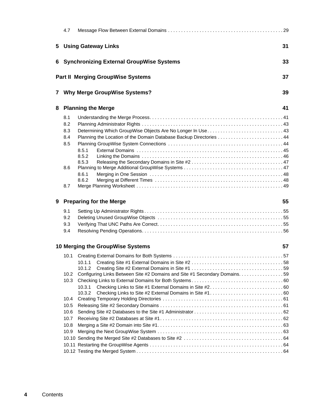|   | 4.7  |                                                                             |    |
|---|------|-----------------------------------------------------------------------------|----|
| 5 |      | <b>Using Gateway Links</b>                                                  | 31 |
| 6 |      | <b>Synchronizing External GroupWise Systems</b>                             | 33 |
|   |      | <b>Part II Merging GroupWise Systems</b>                                    | 37 |
| 7 |      | <b>Why Merge GroupWise Systems?</b>                                         | 39 |
| 8 |      | <b>Planning the Merge</b>                                                   | 41 |
|   | 8.1  |                                                                             |    |
|   | 8.2  |                                                                             |    |
|   | 8.3  |                                                                             |    |
|   | 8.4  | Planning the Location of the Domain Database Backup Directories  44         |    |
|   | 8.5  |                                                                             |    |
|   |      | 8.5.1                                                                       |    |
|   |      | 8.5.2                                                                       |    |
|   | 8.6  | 8.5.3                                                                       |    |
|   |      | 8.6.1                                                                       |    |
|   |      | 8.6.2                                                                       |    |
|   | 8.7  |                                                                             |    |
|   |      |                                                                             |    |
| 9 |      | <b>Preparing for the Merge</b>                                              | 55 |
|   | 9.1  |                                                                             |    |
|   | 9.2  |                                                                             |    |
|   | 9.3  |                                                                             |    |
|   | 9.4  |                                                                             |    |
|   |      |                                                                             | 57 |
|   |      | 10 Merging the GroupWise Systems                                            |    |
|   |      |                                                                             |    |
|   |      |                                                                             |    |
|   | 10.2 | Configuring Links Between Site #2 Domains and Site #1 Secondary Domains. 59 |    |
|   | 10.3 |                                                                             |    |
|   |      | 10.3.1                                                                      |    |
|   |      | 10.3.2                                                                      |    |
|   | 10.4 |                                                                             |    |
|   | 10.5 |                                                                             |    |
|   | 10.6 |                                                                             |    |
|   | 10.7 |                                                                             |    |
|   | 10.8 |                                                                             |    |
|   | 10.9 |                                                                             |    |
|   |      |                                                                             |    |
|   |      |                                                                             |    |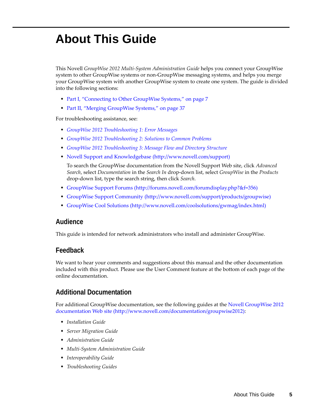# <span id="page-4-0"></span>**About This Guide**

This Novell *GroupWise 2012 Multi‐System Administration Guide* helps you connect your GroupWise system to other GroupWise systems or non‐GroupWise messaging systems, and helps you merge your GroupWise system with another GroupWise system to create one system. The guide is divided into the following sections:

- Part I, ["Connecting](#page-6-1) to Other GroupWise Systems," on page 7
- Part II, "Merging [GroupWise](#page-36-1) Systems," on page 37

For troubleshooting assistance, see:

- *GroupWise 2012 Troubleshooting 1: Error Messages*
- *GroupWise 2012 Troubleshooting 2: Solutions to Common Problems*
- *GroupWise 2012 Troubleshooting 3: Message Flow and Directory Structure*
- Novell Support and [Knowledgebase](http://www.novell.com/support) (http://www.novell.com/support)

To search the GroupWise documentation from the Novell Support Web site, click *Advanced Search*, select *Documentation* in the *Search In* drop‐down list, select *GroupWise* in the *Products* drop‐down list, type the search string, then click *Search*.

- [GroupWise](http://forums.novell.com/forumdisplay.php?&f=356) Support Forums (http://forums.novell.com/forumdisplay.php?&f=356)
- GroupWise Support [Community](http://www.novell.com/support/products/groupwise) (http://www.novell.com/support/products/groupwise)
- [GroupWise](http://www.novell.com/coolsolutions/gwmag/index.html) Cool Solutions (http://www.novell.com/coolsolutions/gwmag/index.html)

#### **Audience**

This guide is intended for network administrators who install and administer GroupWise.

#### **Feedback**

We want to hear your comments and suggestions about this manual and the other documentation included with this product. Please use the User Comment feature at the bottom of each page of the online documentation.

#### **Additional Documentation**

For additional GroupWise documentation, see the following guides at the Novell [GroupWise](http://www.novell.com/documentation/groupwise2012) 2012 [documentation](http://www.novell.com/documentation/groupwise2012) Web site (http://www.novell.com/documentation/groupwise2012):

- *Installation Guide*
- *Server Migration Guide*
- *Administration Guide*
- *Multi‐System Administration Guide*
- *Interoperability Guide*
- *Troubleshooting Guides*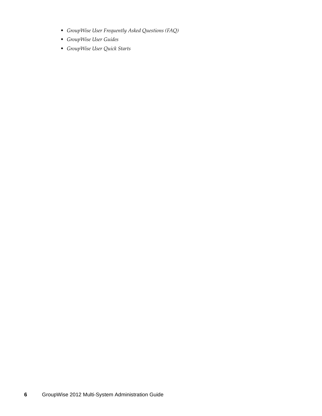- *GroupWise User Frequently Asked Questions (FAQ)*
- *GroupWise User Guides*
- *GroupWise User Quick Starts*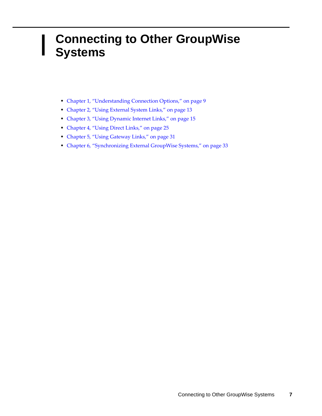### <span id="page-6-2"></span><span id="page-6-1"></span><span id="page-6-0"></span>I **Connecting to Other GroupWise Systems**

- Chapter 1, ["Understanding](#page-8-2) Connection Options," on page 9
- [Chapter 2,](#page-12-1) "Using External System Links," on page 13
- [Chapter 3,](#page-14-3) "Using Dynamic Internet Links," on page 15
- [Chapter 4,](#page-24-2) "Using Direct Links," on page 25
- [Chapter 5,](#page-30-1) "Using Gateway Links," on page 31
- Chapter 6, ["Synchronizing](#page-32-1) External GroupWise Systems," on page 33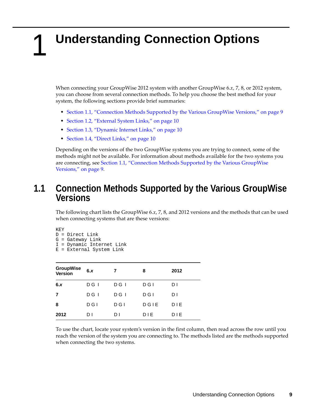# <span id="page-8-2"></span><span id="page-8-0"></span>1 <sup>1</sup>**Understanding Connection Options**

When connecting your GroupWise 2012 system with another GroupWise 6.*x*, 7, 8, or 2012 system, you can choose from several connection methods. To help you choose the best method for your system, the following sections provide brief summaries:

- \* Section 1.1, ["Connection](#page-8-1) Methods Supported by the Various GroupWise Versions," on page 9
- [Section 1.2,](#page-9-0) "External System Links," on page 10
- [Section 1.3,](#page-9-1) "Dynamic Internet Links," on page 10
- [Section 1.4,](#page-9-2) "Direct Links," on page 10

Depending on the versions of the two GroupWise systems you are trying to connect, some of the methods might not be available. For information about methods available for the two systems you are connecting, see Section 1.1, ["Connection](#page-8-1) Methods Supported by the Various GroupWise [Versions,"](#page-8-1) on page 9.

### <span id="page-8-1"></span>**1.1 Connection Methods Supported by the Various GroupWise Versions**

The following chart lists the GroupWise 6.*x*, 7, 8, and 2012 versions and the methods that can be used when connecting systems that are these versions:

KEY

D = Direct Link

G = Gateway Link

I = Dynamic Internet Link

E = External System Link

| <b>GroupWise</b><br><b>Version</b> | 6.x   | 7     | 8     | 2012 |
|------------------------------------|-------|-------|-------|------|
| 6.x                                | D G I | D G I | D G I | DΙ   |
| 7                                  | D G I | D G I | D G I | DΙ   |
| 8                                  | D G I | D G I | DGIE  | DIE  |
| 2012                               | DΙ    | DΙ    | DIE   | DIE  |

To use the chart, locate your system's version in the first column, then read across the row until you reach the version of the system you are connecting to. The methods listed are the methods supported when connecting the two systems.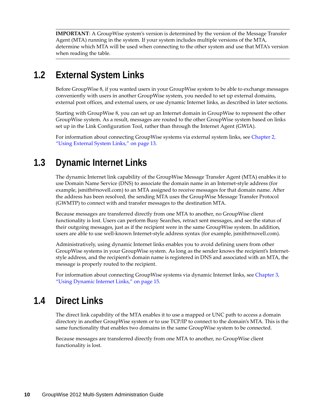**IMPORTANT**: A GroupWise system's version is determined by the version of the Message Transfer Agent (MTA) running in the system. If your system includes multiple versions of the MTA, determine which MTA will be used when connecting to the other system and use that MTA's version when reading the table.

# <span id="page-9-0"></span>**1.2 External System Links**

Before GroupWise 8, if you wanted users in your GroupWise system to be able to exchange messages conveniently with users in another GroupWise system, you needed to set up external domains, external post offices, and external users, or use dynamic Internet links, as described in later sections.

Starting with GroupWise 8, you can set up an Internet domain in GroupWise to represent the other GroupWise system. As a result, messages are routed to the other GroupWise system based on links set up in the Link Configuration Tool, rather than through the Internet Agent (GWIA).

For information about connecting GroupWise systems via external system links, see [Chapter 2,](#page-12-1) "Using [External](#page-12-1) System Links," on page 13.

# <span id="page-9-1"></span>**1.3 Dynamic Internet Links**

The dynamic Internet link capability of the GroupWise Message Transfer Agent (MTA) enables it to use Domain Name Service (DNS) to associate the domain name in an Internet‐style address (for example, jsmith@novell.com) to an MTA assigned to receive messages for that domain name. After the address has been resolved, the sending MTA uses the GroupWise Message Transfer Protocol (GWMTP) to connect with and transfer messages to the destination MTA.

Because messages are transferred directly from one MTA to another, no GroupWise client functionality is lost. Users can perform Busy Searches, retract sent messages, and see the status of their outgoing messages, just as if the recipient were in the same GroupWise system. In addition, users are able to use well‐known Internet‐style address syntax (for example, jsmith@novell.com).

Administratively, using dynamic Internet links enables you to avoid defining users from other GroupWise systems in your GroupWise system. As long as the sender knows the recipient's Internet‐ style address, and the recipient's domain name is registered in DNS and associated with an MTA, the message is properly routed to the recipient.

For information about connecting GroupWise systems via dynamic Internet links, see [Chapter 3,](#page-14-3) "Using [Dynamic](#page-14-3) Internet Links," on page 15.

## <span id="page-9-2"></span>**1.4 Direct Links**

The direct link capability of the MTA enables it to use a mapped or UNC path to access a domain directory in another GroupWise system or to use TCP/IP to connect to the domain's MTA. This is the same functionality that enables two domains in the same GroupWise system to be connected.

Because messages are transferred directly from one MTA to another, no GroupWise client functionality is lost.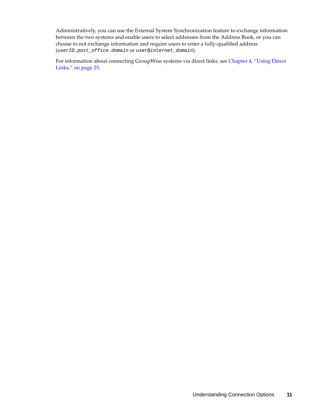Administratively, you can use the External System Synchronization feature to exchange information between the two systems and enable users to select addresses from the Address Book, or you can choose to not exchange information and require users to enter a fully‐qualified address (*userID*.*post\_office*.*domain* or *user*@*internet\_domain*).

For information about connecting GroupWise systems via direct links, see [Chapter 4,](#page-24-2) "Using Direct Links," on [page 25](#page-24-2).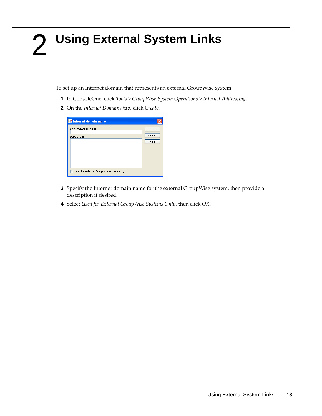# <span id="page-12-1"></span><span id="page-12-0"></span> **Using External System Links**

To set up an Internet domain that represents an external GroupWise system:

- In ConsoleOne, click *Tools > GroupWise System Operations > Internet Addressing*.
- On the *Internet Domains* tab, click *Create*.

| <b>C</b> Internet domain name            |        |
|------------------------------------------|--------|
| Internet Domain Name:                    | OK     |
| Description:                             | Cancel |
|                                          | Help   |
|                                          |        |
|                                          |        |
|                                          |        |
|                                          |        |
| Used for external GroupWise systems only |        |

- Specify the Internet domain name for the external GroupWise system, then provide a description if desired.
- Select *Used for External GroupWise Systems Only*, then click *OK*.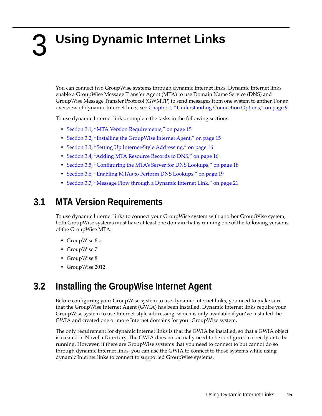# <span id="page-14-3"></span><span id="page-14-0"></span>3 **Using Dynamic Internet Links**

You can connect two GroupWise systems through dynamic Internet links. Dynamic Internet links enable a GroupWise Message Transfer Agent (MTA) to use Domain Name Service (DNS) and GroupWise Message Transfer Protocol (GWMTP) to send messages from one system to anther. For an overview of dynamic Internet links, see Chapter 1, ["Understanding](#page-8-2) Connection Options," on page 9.

To use dynamic Internet links, complete the tasks in the following sections:

- Section 3.1, "MTA Version [Requirements,"](#page-14-1) on page 15
- Section 3.2, "Installing the [GroupWise](#page-14-2) Internet Agent," on page 15
- ◆ Section 3.3, "Setting Up Internet-Style [Addressing,"](#page-15-0) on page 16
- [Section 3.4,](#page-15-1) "Adding MTA Resource Records to DNS," on page 16
- Section 3.5, ["Configuring](#page-17-0) the MTA's Server for DNS Lookups," on page 18
- [Section 3.6,](#page-18-0) "Enabling MTAs to Perform DNS Lookups," on page 19
- [Section 3.7,](#page-20-0) "Message Flow through a Dynamic Internet Link," on page 21

## <span id="page-14-1"></span>**3.1 MTA Version Requirements**

To use dynamic Internet links to connect your GroupWise system with another GroupWise system, both GroupWise systems must have at least one domain that is running one of the following versions of the GroupWise MTA:

- GroupWise 6.*x*
- GroupWise 7
- GroupWise 8
- GroupWise 2012

# <span id="page-14-2"></span>**3.2 Installing the GroupWise Internet Agent**

Before configuring your GroupWise system to use dynamic Internet links, you need to make sure that the GroupWise Internet Agent (GWIA) has been installed. Dynamic Internet links require your GroupWise system to use Internet‐style addressing, which is only available if you've installed the GWIA and created one or more Internet domains for your GroupWise system.

The only requirement for dynamic Internet links is that the GWIA be installed, so that a GWIA object is created in Novell eDirectory. The GWIA does not actually need to be configured correctly or to be running. However, if there are GroupWise systems that you need to connect to but cannot do so through dynamic Internet links, you can use the GWIA to connect to those systems while using dynamic Internet links to connect to supported GroupWise systems.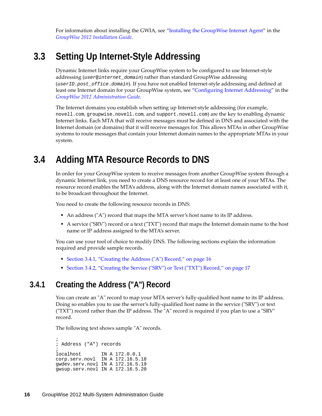For information about installing the GWIA, see "Installing the GroupWise Internet Agent" in the *GroupWise 2012 Installation Guide*.

## <span id="page-15-0"></span>**3.3 Setting Up Internet-Style Addressing**

Dynamic Internet links require your GroupWise system to be configured to use Internet‐style addressing (*user*@*internet\_domain*) rather than standard GroupWise addressing (*userID*.*post\_office*.*domain*). If you have not enabled Internet‐style addressing and defined at least one Internet domain for your GroupWise system, see "Configuring Internet Addressing" in the *GroupWise 2012 Administration Guide*.

The Internet domains you establish when setting up Internet‐style addressing (for example, novell.com, groupwise.novell.com, and support.novell.com) are the key to enabling dynamic Internet links. Each MTA that will receive messages must be defined in DNS and associated with the Internet domain (or domains) that it will receive messages for. This allows MTAs in other GroupWise systems to route messages that contain your Internet domain names to the appropriate MTAs in your system.

## <span id="page-15-1"></span>**3.4 Adding MTA Resource Records to DNS**

In order for your GroupWise system to receive messages from another GroupWise system through a dynamic Internet link, you need to create a DNS resource record for at least one of your MTAs. The resource record enables the MTA's address, along with the Internet domain names associated with it, to be broadcast throughout the Internet.

You need to create the following resource records in DNS:

- An address ("A") record that maps the MTA server's host name to its IP address.
- A service ("SRV") record or a text ("TXT") record that maps the Internet domain name to the host name or IP address assigned to the MTA's server.

You can use your tool of choice to modify DNS. The following sections explain the information required and provide sample records.

- [Section 3.4.1,](#page-15-2) "Creating the Address ("A") Record," on page 16
- [Section 3.4.2,](#page-16-0) "Creating the Service ("SRV") or Text ("TXT") Record," on page 17

#### <span id="page-15-2"></span>**3.4.1 Creating the Address ("A") Record**

You can create an "A" record to map your MTA server's fully-qualified host name to its IP address. Doing so enables you to use the server's fully-qualified host name in the service ("SRV") or text ("TXT") record rather than the IP address. The "A" record is required if you plan to use a "SRV" record.

The following text shows sample "A" records.

```
;
; Address ("A") records
;
localhost IN A 172.0.0.1
corp.serv.novl IN A 172.16.5.18
gwdev.serv.novl IN A 172.16.5.19
gwsup.serv.novl IN A 172.16.5.20
```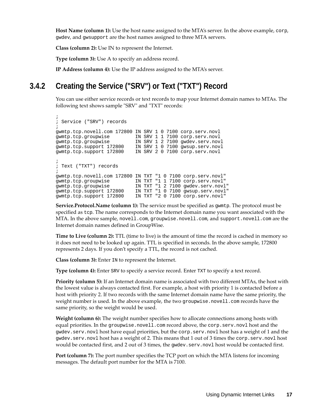**Host Name (column 1):** Use the host name assigned to the MTA's server. In the above example, corp, gwdev, and gwsupport are the host names assigned to three MTA servers.

**Class (column 2):** Use IN to represent the Internet.

**Type (column 3):** Use A to specify an address record.

**IP Address (column 4):** Use the IP address assigned to the MTA's server.

### <span id="page-16-0"></span>**3.4.2 Creating the Service ("SRV") or Text ("TXT") Record**

You can use either service records or text records to map your Internet domain names to MTAs. The following text shows sample "SRV" and "TXT" records:

```
;
; Service ("SRV") records
;
gwmtp.tcp.novell.com 172800 IN SRV 1 0 7100 corp.serv.novl
gwmtp.tcp.groupwise IN SRV 1 1 7100 corp.serv.novl
gwmtp.tcp.groupwise IN SRV 1 2 7100 gwdev.serv.novl
gwmtp.tcp.support 172800 IN SRV 1 0 7100 gwsup.serv.novl
gwmtp.tcp.support 172800 IN SRV 2 0 7100 corp.serv.novl
;
; Text ("TXT") records 
;
gwmtp.tcp.novell.com 172800 IN TXT "1 0 7100 corp.serv.novl"
gwmtp.tcp.groupwise IN TXT "1 1 7100 corp.serv.novl"
gwmtp.tcp.groupwise IN TXT "1 2 7100 gwdev.serv.novl"
gwmtp.tcp.support 172800 IN TXT "1 0 7100 gwsup.serv.novl"
gwmtp.tcp.support 172800 IN TXT "2 0 7100 corp.serv.novl"
```
**Service.Protocol.Name (column 1):** The service must be specified as gwmtp. The protocol must be specified as tcp. The name corresponds to the Internet domain name you want associated with the MTA. In the above sample, novell.com, groupwise.novell.com, and support.novell.com are the Internet domain names defined in GroupWise.

**Time to Live (column 2):** TTL (time to live) is the amount of time the record is cached in memory so it does not need to be looked up again. TTL is specified in seconds. In the above sample, 172800 represents 2 days. If you don't specify a TTL, the record is not cached.

**Class (column 3):** Enter IN to represent the Internet.

**Type (column 4):** Enter SRV to specify a service record. Enter TXT to specify a text record.

**Priority (column 5):** If an Internet domain name is associated with two different MTAs, the host with the lowest value is always contacted first. For example, a host with priority 1 is contacted before a host with priority 2. If two records with the same Internet domain name have the same priority, the weight number is used. In the above example, the two groupwise.novell.com records have the same priority, so the weight would be used.

**Weight (column 6):** The weight number specifies how to allocate connections among hosts with equal priorities. In the groupwise.novell.com record above, the corp.serv.novl host and the gwdev.serv.novl host have equal priorities, but the corp.serv.novl host has a weight of 1 and the gwdev.serv.novl host has a weight of 2. This means that 1 out of 3 times the corp.serv.novl host would be contacted first, and 2 out of 3 times, the gwdev.serv.novl host would be contacted first.

**Port (column 7):** The port number specifies the TCP port on which the MTA listens for incoming messages. The default port number for the MTA is 7100.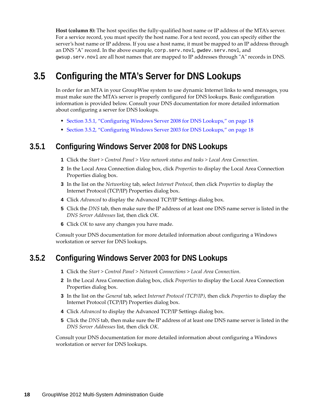**Host (column 8):** The host specifies the fully‐qualified host name or IP address of the MTA's server. For a service record, you must specify the host name. For a text record, you can specify either the server's host name or IP address. If you use a host name, it must be mapped to an IP address through an DNS "A" record. In the above example, corp.serv.novl, gwdev.serv.novl, and gwsup.serv.novl are all host names that are mapped to IP addresses through "A" records in DNS.

# <span id="page-17-0"></span>**3.5 Configuring the MTA's Server for DNS Lookups**

In order for an MTA in your GroupWise system to use dynamic Internet links to send messages, you must make sure the MTA's server is properly configured for DNS lookups. Basic configuration information is provided below. Consult your DNS documentation for more detailed information about configuring a server for DNS lookups.

- Section 3.5.1, ["Configuring](#page-17-1) Windows Server 2008 for DNS Lookups," on page 18
- Section 3.5.2, ["Configuring](#page-17-2) Windows Server 2003 for DNS Lookups," on page 18

#### <span id="page-17-1"></span>**3.5.1 Configuring Windows Server 2008 for DNS Lookups**

- **1** Click the *Start > Control Panel > View network status and tasks > Local Area Connection*.
- **2** In the Local Area Connection dialog box, click *Properties* to display the Local Area Connection Properties dialog box.
- **3** In the list on the *Networking* tab, select *Internet Protocol*, then click *Properties* to display the Internet Protocol (TCP/IP) Properties dialog box.
- **4** Click *Advanced* to display the Advanced TCP/IP Settings dialog box.
- **5** Click the *DNS* tab, then make sure the IP address of at least one DNS name server is listed in the *DNS Server Addresses* list, then click *OK*.
- **6** Click *OK* to save any changes you have made.

Consult your DNS documentation for more detailed information about configuring a Windows workstation or server for DNS lookups.

#### <span id="page-17-2"></span>**3.5.2 Configuring Windows Server 2003 for DNS Lookups**

- **1** Click the *Start > Control Panel > Network Connections > Local Area Connection*.
- **2** In the Local Area Connection dialog box, click *Properties* to display the Local Area Connection Properties dialog box.
- **3** In the list on the *General* tab, select *Internet Protocol (TCP/IP)*, then click *Properties* to display the Internet Protocol (TCP/IP) Properties dialog box.
- **4** Click *Advanced* to display the Advanced TCP/IP Settings dialog box.
- **5** Click the *DNS* tab, then make sure the IP address of at least one DNS name server is listed in the *DNS Server Addresses* list, then click *OK*.

Consult your DNS documentation for more detailed information about configuring a Windows workstation or server for DNS lookups.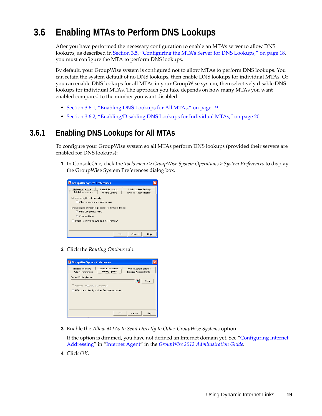# <span id="page-18-0"></span>**3.6 Enabling MTAs to Perform DNS Lookups**

After you have performed the necessary configuration to enable an MTA's server to allow DNS lookups, as described in Section 3.5, ["Configuring](#page-17-0) the MTA's Server for DNS Lookups," on page 18, you must configure the MTA to perform DNS lookups.

By default, your GroupWise system is configured not to allow MTAs to perform DNS lookups. You can retain the system default of no DNS lookups, then enable DNS lookups for individual MTAs. Or you can enable DNS lookups for all MTAs in your GroupWise system, then selectively disable DNS lookups for individual MTAs. The approach you take depends on how many MTAs you want enabled compared to the number you want disabled.

- [Section 3.6.1,](#page-18-1) "Enabling DNS Lookups for All MTAs," on page 19
- Section 3.6.2, ["Enabling/Disabling](#page-19-0) DNS Lookups for Individual MTAs," on page 20

### <span id="page-18-1"></span>**3.6.1 Enabling DNS Lookups for All MTAs**

To configure your GroupWise system so all MTAs perform DNS lookups (provided their servers are enabled for DNS lookups):

**1** In ConsoleOne, click the *Tools menu > GroupWise System Operations > System Preferences* to display the GroupWise System Preferences dialog box.



**2** Click the *Routing Options* tab.

| <b>C</b> GroupWise System Preferences                        |                                               |                                                         |      |
|--------------------------------------------------------------|-----------------------------------------------|---------------------------------------------------------|------|
| Nickname Settings<br>Admin Preferences                       | Default Password<br>Routing Options           | Admin Lockout Settinas<br><b>External Access Rights</b> |      |
| Default Routing Domain:<br>Force all messages to this domain | MTAs send directly to other GroupWise systems | R<br>Clear                                              |      |
|                                                              | OK                                            | Cancel                                                  | Help |

**3** Enable the *Allow MTAs to Send Directly to Other GroupWise Systems* option

If the option is dimmed, you have not defined an Internet domain yet. See "Configuring Internet Addressing" in "Internet Agent" in the *GroupWise 2012 Administration Guide*.

**4** Click *OK*.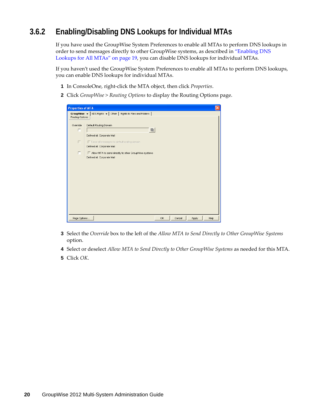### <span id="page-19-0"></span>**3.6.2 Enabling/Disabling DNS Lookups for Individual MTAs**

If you have used the GroupWise System Preferences to enable all MTAs to perform DNS lookups in order to send messages directly to other GroupWise systems, as described in ["Enabling](#page-18-1) DNS [Lookups](#page-18-1) for All MTAs" on page 19, you can disable DNS lookups for individual MTAs.

If you haven't used the GroupWise System Preferences to enable all MTAs to perform DNS lookups, you can enable DNS lookups for individual MTAs.

- **1** In ConsoleOne, right‐click the MTA object, then click *Properties*.
- **2** Click *GroupWise > Routing Options* to display the Routing Options page.

| <b>Properties of MTA</b>             | $ \mathsf{x} $                                                                      |
|--------------------------------------|-------------------------------------------------------------------------------------|
| GroupWise $\star$<br>Routing Options | NDS Rights $\arrow$   Other   Rights to Files and Folders                           |
| Override<br>г                        | Default Routing Domain                                                              |
|                                      | Defined at: Corporate Mail                                                          |
| Г                                    | Force all messages to default routing domain<br>Defined at: Corporate Mail          |
| Г                                    | Allow MTA to send directly to other GroupWise systems<br>Defined at: Corporate Mail |
|                                      |                                                                                     |
|                                      |                                                                                     |
|                                      |                                                                                     |
|                                      |                                                                                     |
|                                      |                                                                                     |
|                                      |                                                                                     |
| Page Options                         | OK<br>Help<br>Cancel<br>Apply                                                       |

- **3** Select the *Override* box to the left of the *Allow MTA to Send Directly to Other GroupWise Systems* option.
- **4** Select or deselect *Allow MTA to Send Directly to Other GroupWise Systems* as needed for this MTA.
- **5** Click *OK*.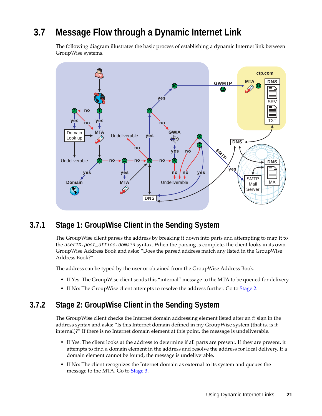# <span id="page-20-0"></span>**3.7 Message Flow through a Dynamic Internet Link**

The following diagram illustrates the basic process of establishing a dynamic Internet link between GroupWise systems.



#### <span id="page-20-1"></span>**3.7.1 Stage 1: GroupWise Client in the Sending System**

The GroupWise client parses the address by breaking it down into parts and attempting to map it to the *userID.post\_office.domain* syntax. When the parsing is complete, the client looks in its own GroupWise Address Book and asks: "Does the parsed address match any listed in the GroupWise Address Book?"

The address can be typed by the user or obtained from the GroupWise Address Book.

- If Yes: The GroupWise client sends this "internal" message to the MTA to be queued for delivery.
- If No: The GroupWise client attempts to resolve the address further. Go to [Stage](#page-20-2) 2.

#### <span id="page-20-2"></span>**3.7.2 Stage 2: GroupWise Client in the Sending System**

The GroupWise client checks the Internet domain addressing element listed after an @ sign in the address syntax and asks: "Is this Internet domain defined in my GroupWise system (that is, is it internal)?" If there is no Internet domain element at this point, the message is undeliverable.

- If Yes: The client looks at the address to determine if all parts are present. If they are present, it attempts to find a domain element in the address and resolve the address for local delivery. If a domain element cannot be found, the message is undeliverable.
- If No: The client recognizes the Internet domain as external to its system and queues the message to the MTA. Go to [Stage](#page-21-0) 3.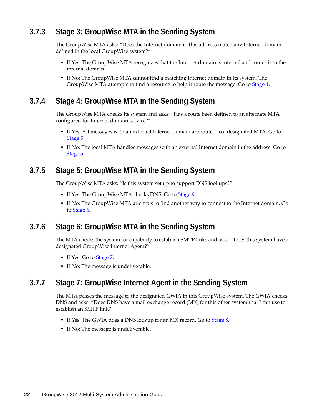### <span id="page-21-0"></span>**3.7.3 Stage 3: GroupWise MTA in the Sending System**

The GroupWise MTA asks: "Does the Internet domain in this address match any Internet domain defined in the local GroupWise system?"

- If Yes: The GroupWise MTA recognizes that the Internet domain is internal and routes it to the internal domain.
- If No: The GroupWise MTA cannot find a matching Internet domain in its system. The GroupWise MTA attempts to find a resource to help it route the message. Go to [Stage](#page-21-1) 4.

#### <span id="page-21-1"></span>**3.7.4 Stage 4: GroupWise MTA in the Sending System**

The GroupWise MTA checks its system and asks: "Has a route been defined to an alternate MTA configured for Internet domain service?"

- If Yes: All messages with an external Internet domain are routed to a designated MTA. Go to [Stage](#page-21-2) 5.
- If No: The local MTA handles messages with an external Internet domain in the address. Go to [Stage](#page-21-2) 5.

#### <span id="page-21-2"></span>**3.7.5 Stage 5: GroupWise MTA in the Sending System**

The GroupWise MTA asks: "Is this system set up to support DNS lookups?"

- If Yes: The GroupWise MTA checks DNS. Go to [Stage](#page-22-1) 9.
- If No: The GroupWise MTA attempts to find another way to connect to the Internet domain. Go to [Stage](#page-21-3) 6.

#### <span id="page-21-3"></span>**3.7.6 Stage 6: GroupWise MTA in the Sending System**

The MTA checks the system for capability to establish SMTP links and asks: "Does this system have a designated GroupWise Internet Agent?"

- If Yes: Go to [Stage](#page-21-4) 7.
- If No: The message is undeliverable.

#### <span id="page-21-4"></span>**3.7.7 Stage 7: GroupWise Internet Agent in the Sending System**

The MTA passes the message to the designated GWIA in this GroupWise system. The GWIA checks DNS and asks: "Does DNS have a mail exchange record (MX) for this other system that I can use to establish an SMTP link?"

- If Yes: The GWIA does a DNS lookup for an MX record. Go to [Stage](#page-22-0) 8.
- If No: The message is undeliverable.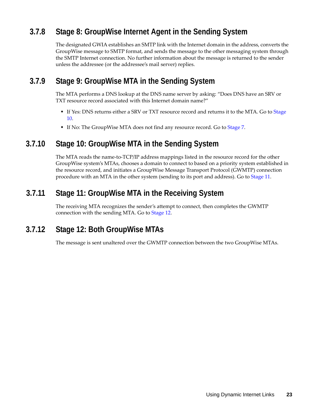### <span id="page-22-0"></span>**3.7.8 Stage 8: GroupWise Internet Agent in the Sending System**

The designated GWIA establishes an SMTP link with the Internet domain in the address, converts the GroupWise message to SMTP format, and sends the message to the other messaging system through the SMTP Internet connection. No further information about the message is returned to the sender unless the addressee (or the addressee's mail server) replies.

#### <span id="page-22-1"></span>**3.7.9 Stage 9: GroupWise MTA in the Sending System**

The MTA performs a DNS lookup at the DNS name server by asking: "Does DNS have an SRV or TXT resource record associated with this Internet domain name?"

- If Yes: DNS returns either a SRV or TXT resource record and returns it to the MTA. Go to [Stage](#page-22-2) [10.](#page-22-2)
- If No: The GroupWise MTA does not find any resource record. Go to [Stage](#page-21-4) 7.

#### <span id="page-22-2"></span>**3.7.10 Stage 10: GroupWise MTA in the Sending System**

The MTA reads the name-to-TCP/IP address mappings listed in the resource record for the other GroupWise system's MTAs, chooses a domain to connect to based on a priority system established in the resource record, and initiates a GroupWise Message Transport Protocol (GWMTP) connection procedure with an MTA in the other system (sending to its port and address). Go to [Stage](#page-22-3) 11.

#### <span id="page-22-3"></span>**3.7.11 Stage 11: GroupWise MTA in the Receiving System**

The receiving MTA recognizes the sender's attempt to connect, then completes the GWMTP connection with the sending MTA. Go to [Stage](#page-22-4) 12.

#### <span id="page-22-4"></span>**3.7.12 Stage 12: Both GroupWise MTAs**

The message is sent unaltered over the GWMTP connection between the two GroupWise MTAs.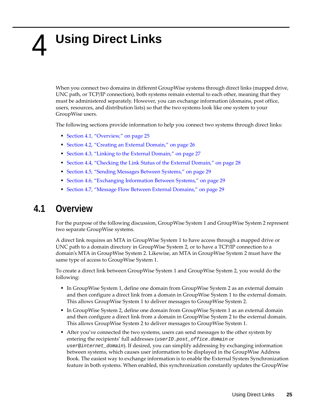# <span id="page-24-2"></span><span id="page-24-0"></span>4 <sup>4</sup>**Using Direct Links**

When you connect two domains in different GroupWise systems through direct links (mapped drive, UNC path, or TCP/IP connection), both systems remain external to each other, meaning that they must be administered separately. However, you can exchange information (domains, post office, users, resources, and distribution lists) so that the two systems look like one system to your GroupWise users.

The following sections provide information to help you connect two systems through direct links:

- Section 4.1, ["Overview,"](#page-24-1) on page 25
- [Section 4.2,](#page-25-0) "Creating an External Domain," on page 26
- [Section 4.3,](#page-26-0) "Linking to the External Domain," on page 27
- [Section 4.4,](#page-27-0) "Checking the Link Status of the External Domain," on page 28
- [Section 4.5,](#page-28-0) "Sending Messages Between Systems," on page 29
- Section 4.6, ["Exchanging](#page-28-1) Information Between Systems," on page 29
- [Section 4.7,](#page-28-2) "Message Flow Between External Domains," on page 29

### <span id="page-24-1"></span>**4.1 Overview**

For the purpose of the following discussion, GroupWise System 1 and GroupWise System 2 represent two separate GroupWise systems.

A direct link requires an MTA in GroupWise System 1 to have access through a mapped drive or UNC path to a domain directory in GroupWise System 2, or to have a TCP/IP connection to a domain's MTA in GroupWise System 2. Likewise, an MTA in GroupWise System 2 must have the same type of access to GroupWise System 1.

To create a direct link between GroupWise System 1 and GroupWise System 2, you would do the following:

- In GroupWise System 1, define one domain from GroupWise System 2 as an external domain and then configure a direct link from a domain in GroupWise System 1 to the external domain. This allows GroupWise System 1 to deliver messages to GroupWise System 2.
- In GroupWise System 2, define one domain from GroupWise System 1 as an external domain and then configure a direct link from a domain in GroupWise System 2 to the external domain. This allows GroupWise System 2 to deliver messages to GroupWise System 1.
- After you've connected the two systems, users can send messages to the other system by entering the recipients' full addresses (*userID*.*post\_office*.*domain* or *user*@*internet\_domain*). If desired, you can simplify addressing by exchanging information between systems, which causes user information to be displayed in the GroupWise Address Book. The easiest way to exchange information is to enable the External System Synchronization feature in both systems. When enabled, this synchronization constantly updates the GroupWise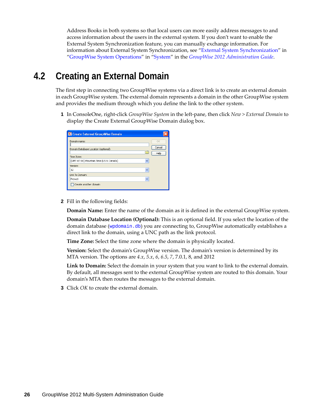Address Books in both systems so that local users can more easily address messages to and access information about the users in the external system. If you don't want to enable the External System Synchronization feature, you can manually exchange information. For information about External System Synchronization, see "External System Synchronization" in "GroupWise System Operations" in "System" in the *GroupWise 2012 Administration Guide*.

## <span id="page-25-0"></span>**4.2 Creating an External Domain**

The first step in connecting two GroupWise systems via a direct link is to create an external domain in each GroupWise system. The external domain represents a domain in the other GroupWise system and provides the medium through which you define the link to the other system.

<span id="page-25-1"></span>**1** In ConsoleOne, right‐click *GroupWise System* in the left‐pane, then click *New > External Domain* to display the Create External GroupWise Domain dialog box.

| C Create External GroupWise Domain                                                                                 |                      |
|--------------------------------------------------------------------------------------------------------------------|----------------------|
| Domain name:<br>Domain Database Location (optional):<br>Time Zone:<br>(GMT-07:00) Mountain Time (US & Canada)<br>v | OK<br>Cancel<br>Help |
| Version:<br>12<br>$\checkmark$                                                                                     |                      |
| Link To Domain:<br>Provo1<br>$\checkmark$                                                                          |                      |
| Create another domain                                                                                              |                      |

**2** Fill in the following fields:

**Domain Name:** Enter the name of the domain as it is defined in the external GroupWise system.

**Domain Database Location (Optional):** This is an optional field. If you select the location of the domain database (wpdomain.db) you are connecting to, GroupWise automatically establishes a direct link to the domain, using a UNC path as the link protocol.

**Time Zone:** Select the time zone where the domain is physically located.

**Version:** Select the domain's GroupWise version. The domain's version is determined by its MTA version. The options are *4.x*, *5.x*, *6*, *6.5*, *7*, 7.0.1, 8, and 2012

**Link to Domain:** Select the domain in your system that you want to link to the external domain. By default, all messages sent to the external GroupWise system are routed to this domain. Your domain's MTA then routes the messages to the external domain.

<span id="page-25-2"></span>**3** Click *OK* to create the external domain.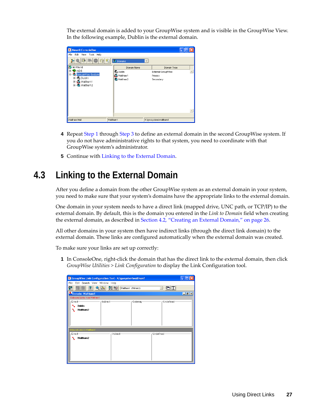The external domain is added to your GroupWise system and is visible in the GroupWise View. In the following example, Dublin is the external domain.

| Novell ConsoleOne                                       |                   |                      |
|---------------------------------------------------------|-------------------|----------------------|
| File<br>Edit<br>Tools Help<br>View                      |                   |                      |
| $\circledR$<br>p.<br>衢                                  | <b>O</b> Domains  | $\rightarrow$        |
| My World<br>k.                                          | Domain Name       | Domain Type          |
| <b>P</b> NDS<br>田                                       | <b>Q</b> Dublin   | External GroupWise   |
| <b>E</b> CoroupWise System                              | <b>S</b> Waltham1 | Primary              |
| 由 ① Dublin<br>日 <b>60</b> Waltham1<br>由 <b>Waltham2</b> | Waltham2          | Secondary            |
|                                                         |                   |                      |
| Waltham Mail                                            | Waltham1          | K:\gwsystem\waltham1 |

- **4** Repeat [Step 1](#page-25-1) through [Step 3](#page-25-2) to define an external domain in the second GroupWise system. If you do not have administrative rights to that system, you need to coordinate with that GroupWise system's administrator.
- **5** Continue with Linking to the [External](#page-26-0) Domain.

# <span id="page-26-0"></span>**4.3 Linking to the External Domain**

After you define a domain from the other GroupWise system as an external domain in your system, you need to make sure that your system's domains have the appropriate links to the external domain.

One domain in your system needs to have a direct link (mapped drive, UNC path, or TCP/IP) to the external domain. By default, this is the domain you entered in the *Link to Domain* field when creating the external domain, as described in [Section 4.2,](#page-25-0) "Creating an External Domain," on page 26.

All other domains in your system then have indirect links (through the direct link domain) to the external domain. These links are configured automatically when the external domain was created.

To make sure your links are set up correctly:

<span id="page-26-1"></span>**1** In ConsoleOne, right‐click the domain that has the direct link to the external domain, then click *GroupWise Utilities > Link Configuration* to display the Link Configuration tool.

| G GroupWise Link Configuration Tool - K:\gwsystem\waltham1 |                  |                    |                                        |                        |
|------------------------------------------------------------|------------------|--------------------|----------------------------------------|------------------------|
| File<br>Edit Search View Window Help                       |                  |                    |                                        |                        |
| ୃଙ୍<br>స్ట్                                                | $R \nabla$<br>49 | Waltham1 (Primary) | $\blacksquare$<br>$\blacktriangledown$ |                        |
| Domain: Waltham1                                           |                  |                    |                                        | $\Box$ $\Box$ $\times$ |
| Outbound Links from Waltham1                               |                  |                    |                                        |                        |
| Direct-                                                    | -Indirect-       | Gateway-           | Undefined                              |                        |
| <b>Dublin</b>                                              |                  |                    |                                        |                        |
| Waltham2                                                   |                  |                    |                                        |                        |
|                                                            |                  |                    |                                        |                        |
|                                                            |                  |                    |                                        |                        |
|                                                            |                  |                    |                                        |                        |
| Inbound Links to Waltham1                                  |                  |                    |                                        |                        |
| Direct-                                                    | -Indirect-       |                    | -Undefined-                            |                        |
| Waltham2<br>₹                                              |                  |                    |                                        |                        |
|                                                            |                  |                    |                                        |                        |
|                                                            |                  |                    |                                        |                        |
|                                                            |                  |                    |                                        |                        |
|                                                            |                  |                    |                                        |                        |
|                                                            |                  |                    |                                        |                        |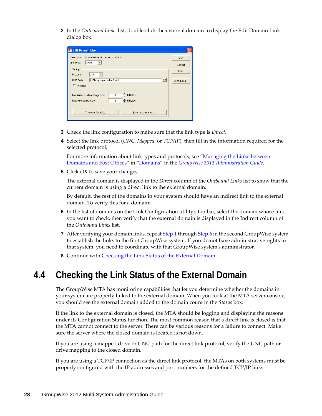**2** In the *Outbound Links* list, double‐click the external domain to display the Edit Domain Link dialog box.

| <b>C</b> Edit Domain Link                                                                 |            |
|-------------------------------------------------------------------------------------------|------------|
| Description:<br>How Waltham1 connects to Dublin                                           | OK         |
| <b>Direct</b><br>Link Type:                                                               | Cancel     |
| Settings                                                                                  | Help       |
| <b>LUNC</b><br>Protocol:<br>n<br>UNC Path:<br>WBD\sys\qwsystem\dublin                     | Scheduling |
| $\Box$ Override                                                                           |            |
| ≜<br>MBytes<br>0<br>Maximum send message size:<br>싂<br>MBytes<br>0<br>Delay message size: |            |
| Transfer Pull Info<br>External Link Info                                                  |            |

- **3** Check the link configuration to make sure that the link type is *Direct*.
- **4** Select the link protocol (*UNC*, *Mapped*, or *TCP/IP*), then fill in the information required for the selected protocol.

For more information about link types and protocols, see "Managing the Links between Domains and Post Offices" in "Domains" in the *GroupWise 2012 Administration Guide*.

**5** Click *OK* to save your changes.

The external domain is displayed in the *Direct* column of the *Outbound Links* list to show that the current domain is using a direct link to the external domain.

By default, the rest of the domains in your system should have an indirect link to the external domain. To verify this for a domain:

- <span id="page-27-1"></span>**6** In the list of domains on the Link Configuration utility's toolbar, select the domain whose link you want to check, then verify that the external domain is displayed in the Indirect column of the *Outbound Links* list.
- **7** After verifying your domain links, repeat [Step 1](#page-26-1) through [Step 6](#page-27-1) in the second GroupWise system to establish the links to the first GroupWise system. If you do not have administrative rights to that system, you need to coordinate with that GroupWise system's administrator.
- **8** Continue with [Checking](#page-27-0) the Link Status of the External Domain.

## <span id="page-27-0"></span>**4.4 Checking the Link Status of the External Domain**

The GroupWise MTA has monitoring capabilities that let you determine whether the domains in your system are properly linked to the external domain. When you look at the MTA server console, you should see the external domain added to the domain count in the *Status* box.

If the link to the external domain is closed, the MTA should be logging and displaying the reasons under its Configuration Status function. The most common reason that a direct link is closed is that the MTA cannot connect to the server. There can be various reasons for a failure to connect. Make sure the server where the closed domain is located is not down.

If you are using a mapped drive or UNC path for the direct link protocol, verify the UNC path or drive mapping to the closed domain.

If you are using a TCP/IP connection as the direct link protocol, the MTAs on both systems must be properly configured with the IP addresses and port numbers for the defined TCP/IP links.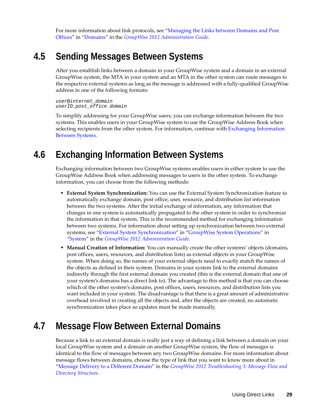For more information about link protocols, see "Managing the Links between Domains and Post Offices" in "Domains" in the *GroupWise 2012 Administration Guide*.

## <span id="page-28-0"></span>**4.5 Sending Messages Between Systems**

After you establish links between a domain in your GroupWise system and a domain in an external GroupWise system, the MTA in your system and an MTA in the other system can route messages to the respective external systems as long as the message is addressed with a fully-qualified GroupWise address in one of the following formats:

```
user@internet_domain
userID.post_office.domain
```
To simplify addressing for your GroupWise users, you can exchange information between the two systems. This enables users in your GroupWise system to use the GroupWise Address Book when selecting recipients from the other system. For information, continue with Exchanging [Information](#page-28-1) [Between](#page-28-1) Systems.

# <span id="page-28-1"></span>**4.6 Exchanging Information Between Systems**

Exchanging information between two GroupWise systems enables users in either system to use the GroupWise Address Book when addressing messages to users in the other system. To exchange information, you can choose from the following methods:

- **External System Synchronization:** You can use the External System Synchronization feature to automatically exchange domain, post office, user, resource, and distribution list information between the two systems. After the initial exchange of information, any information that changes in one system is automatically propagated to the other system in order to synchronize the information in that system. This is the recommended method for exchanging information between two systems. For information about setting up synchronization between two external systems, see "External System Synchronization" in "GroupWise System Operations" in "System" in the *GroupWise 2012 Administration Guide*.
- **Manual Creation of Information:** You can manually create the other systems' objects (domains, post offices, users, resources, and distribution lists) as external objects in your GroupWise system. When doing so, the names of your external objects need to exactly match the names of the objects as defined in their system. Domains in your system link to the external domains indirectly through the first external domain you created (this is the external domain that one of your system's domains has a direct link to). The advantage to this method is that you can choose which of the other system's domains, post offices, users, resources, and distribution lists you want included in your system. The disadvantage is that there is a great amount of administrative overhead involved in creating all the objects and, after the objects are created, no automatic synchronization takes place so updates must be made manually.

# <span id="page-28-2"></span>**4.7 Message Flow Between External Domains**

Because a link to an external domain is really just a way of defining a link between a domain on your local GroupWise system and a domain on another GroupWise system, the flow of messages is identical to the flow of messages between any two GroupWise domains. For more information about message flows between domains, choose the type of link that you want to know more about in "Message Delivery to a Different Domain" in the *GroupWise 2012 Troubleshooting 3: Message Flow and Directory Structure*.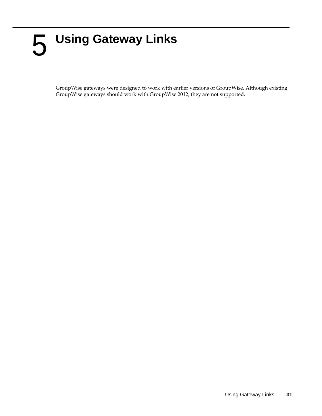# <span id="page-30-1"></span><span id="page-30-0"></span>5 <sup>5</sup>**Using Gateway Links**

GroupWise gateways were designed to work with earlier versions of GroupWise. Although existing GroupWise gateways should work with GroupWise 2012, they are not supported.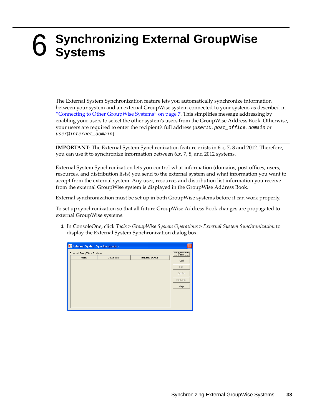# <span id="page-32-1"></span><span id="page-32-0"></span>6 <sup>6</sup>**Synchronizing External GroupWise Systems**

The External System Synchronization feature lets you automatically synchronize information between your system and an external GroupWise system connected to your system, as described in ["Connecting](#page-6-2) to Other GroupWise Systems" on page 7. This simplifies message addressing by enabling your users to select the other system's users from the GroupWise Address Book. Otherwise, your users are required to enter the recipient's full address (*userID*.*post\_office*.*domain* or *user*@*internet\_domain*).

**IMPORTANT**: The External System Synchronization feature exists in 6.*x*, 7, 8 and 2012. Therefore, you can use it to synchronize information between 6.*x*, 7, 8, and 2012 systems.

External System Synchronization lets you control what information (domains, post offices, users, resources, and distribution lists) you send to the external system and what information you want to accept from the external system. Any user, resource, and distribution list information you receive from the external GroupWise system is displayed in the GroupWise Address Book.

External synchronization must be set up in both GroupWise systems before it can work properly.

To set up synchronization so that all future GroupWise Address Book changes are propagated to external GroupWise systems:

**1** In ConsoleOne, click *Tools > GroupWise System Operations > External System Synchronization* to display the External System Synchronization dialog box.

| <b>C</b> External System Synchronization |                                    |                 |         |  |  |
|------------------------------------------|------------------------------------|-----------------|---------|--|--|
| External GroupWise Systems:              | <br>$\overline{\phantom{a}}$ Close |                 |         |  |  |
| Name                                     | Description                        | External Domain | Add     |  |  |
|                                          |                                    |                 |         |  |  |
|                                          |                                    |                 | Edit    |  |  |
|                                          |                                    |                 | Delete  |  |  |
|                                          |                                    |                 | Request |  |  |
|                                          |                                    |                 | Help    |  |  |
|                                          |                                    |                 |         |  |  |
|                                          |                                    |                 |         |  |  |
|                                          |                                    |                 |         |  |  |
|                                          |                                    |                 |         |  |  |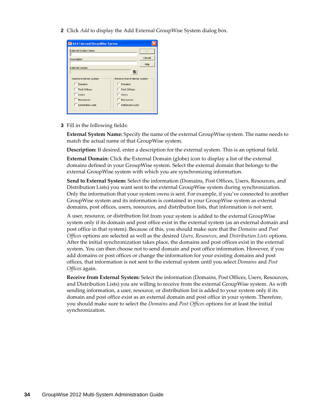**2** Click *Add* to display the Add External GroupWise System dialog box.

| <b>CAdd External GroupWise System</b>                  |                              |        |  |  |
|--------------------------------------------------------|------------------------------|--------|--|--|
| External System Name:                                  | OK                           |        |  |  |
| Description:                                           |                              | Cancel |  |  |
|                                                        |                              | Help   |  |  |
| External Domain:                                       |                              |        |  |  |
| Send to External System                                | Receive from External System |        |  |  |
| Domains                                                | Domains                      |        |  |  |
| Post Offices                                           | Post Offices                 |        |  |  |
| <b>Lisers</b>                                          | Users                        |        |  |  |
| Resources                                              |                              |        |  |  |
| <b>Distribution Lists</b><br><b>Distribution Lists</b> |                              |        |  |  |
|                                                        |                              |        |  |  |

**3** Fill in the following fields:

**External System Name:** Specify the name of the external GroupWise system. The name needs to match the actual name of that GroupWise system.

**Description:** If desired, enter a description for the external system. This is an optional field.

**External Domain:** Click the External Domain (globe) icon to display a list of the external domains defined in your GroupWise system. Select the external domain that belongs to the external GroupWise system with which you are synchronizing information.

**Send to External System:** Select the information (Domains, Post Offices, Users, Resources, and Distribution Lists) you want sent to the external GroupWise system during synchronization. Only the information that your system owns is sent. For example, if you've connected to another GroupWise system and its information is contained in your GroupWise system as external domains, post offices, users, resources, and distribution lists, that information is not sent.

A user, resource, or distribution list from your system is added to the external GroupWise system only if its domain and post office exist in the external system (as an external domain and post office in that system). Because of this, you should make sure that the *Domains* and *Post Offices* options are selected as well as the desired *Users*, *Resources*, and *Distribution Lists* options. After the initial synchronization takes place, the domains and post offices exist in the external system. You can then choose not to send domain and post office information. However, if you add domains or post offices or change the information for your existing domains and post offices, that information is not sent to the external system until you select *Domains* and *Post Offices* again.

**Receive from External System:** Select the information (Domains, Post Offices, Users, Resources, and Distribution Lists) you are willing to receive from the external GroupWise system. As with sending information, a user, resource, or distribution list is added to your system only if its domain and post office exist as an external domain and post office in your system. Therefore, you should make sure to select the *Domains* and *Post Offices* options for at least the initial synchronization.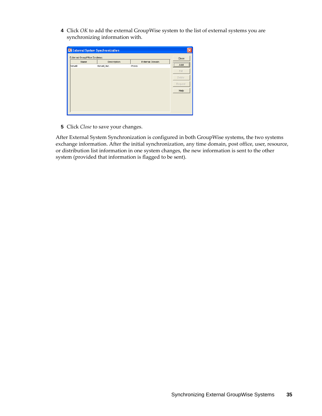**4** Click *OK* to add the external GroupWise system to the list of external systems you are synchronizing information with.

| External GroupWise Systems: |              |                 | Close                         |
|-----------------------------|--------------|-----------------|-------------------------------|
| Name                        | Description  | External Domain | ----------------------------- |
| Novell                      | Novell, Inc. | Provo           | <u>  Add</u>                  |
|                             |              |                 | Edit                          |
|                             |              |                 | Delete                        |
|                             |              |                 | Request                       |
|                             |              |                 | Help                          |
|                             |              |                 |                               |
|                             |              |                 |                               |

**5** Click *Close* to save your changes.

After External System Synchronization is configured in both GroupWise systems, the two systems exchange information. After the initial synchronization, any time domain, post office, user, resource, or distribution list information in one system changes, the new information is sent to the other system (provided that information is flagged to be sent).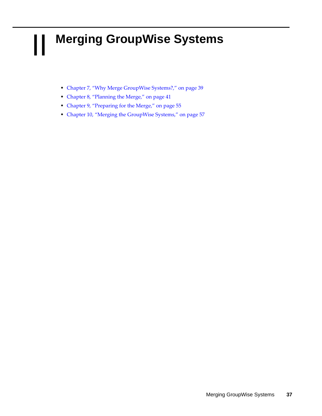# <span id="page-36-0"></span>II **Merging GroupWise Systems**

- <span id="page-36-1"></span>Chapter 7, "Why Merge [GroupWise](#page-38-1) Systems?," on page 39
- [Chapter 8,](#page-40-2) "Planning the Merge," on page 41
- Chapter 9, ["Preparing](#page-54-4) for the Merge," on page 55
- [Chapter 10,](#page-56-2) "Merging the GroupWise Systems," on page 57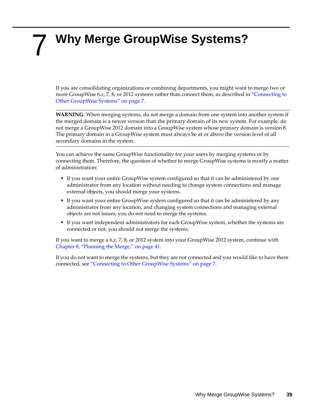# <span id="page-38-1"></span><span id="page-38-0"></span>7 <sup>7</sup>**Why Merge GroupWise Systems?**

If you are consolidating organizations or combining departments, you might want to merge two or more GroupWise 6.*x*, 7, 8, or 2012 systems rather than connect them, as described in ["Connecting](#page-6-1) to Other [GroupWise](#page-6-1) Systems" on page 7.

**WARNING**: When merging systems, do not merge a domain from one system into another system if the merged domain is a newer version than the primary domain of its new system. For example, do not merge a GroupWise 2012 domain into a GroupWise system whose primary domain is version 8. The primary domain in a GroupWise system must always be at or above the version level of all secondary domains in the system.

You can achieve the same GroupWise functionality for your users by merging systems or by connecting them. Therefore, the question of whether to merge GroupWise systems is mostly a matter of administration:

- If you want your entire GroupWise system configured so that it can be administered by one administrator from any location without needing to change system connections and manage external objects, you should merge your systems.
- If you want your entire GroupWise system configured so that it can be administered by any administrator from any location, and changing system connections and managing external objects are not issues, you do not need to merge the systems.
- If you want independent administrators for each GroupWise system, whether the systems are connected or not, you should not merge the systems.

If you want to merge a 6.*x*, 7, 8, or 2012 system into your GroupWise 2012 system, continue with [Chapter 8,](#page-40-2) "Planning the Merge," on page 41.

If you do not want to merge the systems, but they are not connected and you would like to have them connected, see ["Connecting](#page-6-1) to Other GroupWise Systems" on page 7.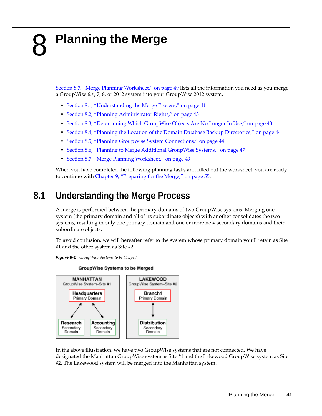# <span id="page-40-2"></span><span id="page-40-0"></span>8 <sup>8</sup>**Planning the Merge**

Section 8.7, "Merge Planning [Worksheet,"](#page-48-0) on page 49 lists all the information you need as you merge a GroupWise 6.*x*, 7, 8, or 2012 system into your GroupWise 2012 system.

- Section 8.1, ["Understanding](#page-40-1) the Merge Process," on page 41
- Section 8.2, "Planning [Administrator](#page-42-0) Rights," on page 43
- Section 8.3, ["Determining](#page-42-1) Which GroupWise Objects Are No Longer In Use," on page 43
- Section 8.4, "Planning the Location of the Domain Database Backup [Directories,"](#page-43-0) on page 44
- Section 8.5, "Planning GroupWise System [Connections,"](#page-43-1) on page 44
- Section 8.6, "Planning to Merge Additional [GroupWise](#page-46-1) Systems," on page 47
- Section 8.7, "Merge Planning [Worksheet,"](#page-48-0) on page 49

When you have completed the following planning tasks and filled out the worksheet, you are ready to continue with Chapter 9, ["Preparing](#page-54-4) for the Merge," on page 55.

# <span id="page-40-1"></span>**8.1 Understanding the Merge Process**

A merge is performed between the primary domains of two GroupWise systems. Merging one system (the primary domain and all of its subordinate objects) with another consolidates the two systems, resulting in only one primary domain and one or more new secondary domains and their subordinate objects.

To avoid confusion, we will hereafter refer to the system whose primary domain you'll retain as Site #1 and the other system as Site #2.



Accounting

Secondary

Domain

Research Secondary

Domain



In the above illustration, we have two GroupWise systems that are not connected. We have designated the Manhattan GroupWise system as Site #1 and the Lakewood GroupWise system as Site #2. The Lakewood system will be merged into the Manhattan system.

**Distribution** 

Secondary

Domain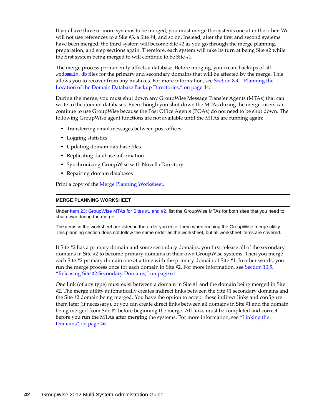If you have three or more systems to be merged, you must merge the systems one after the other. We will not use references to a Site #3, a Site #4, and so on. Instead, after the first and second systems have been merged, the third system will become Site #2 as you go through the merge planning, preparation, and step sections again. Therefore, each system will take its turn at being Site #2 while the first system being merged to will continue to be Site #1.

The merge process permanently affects a database. Before merging, you create backups of all wpdomain.db files for the primary and secondary domains that will be affected by the merge. This allows you to recover from any mistakes. For more information, see [Section 8.4,](#page-43-0) "Planning the Location of the Domain Database Backup [Directories,"](#page-43-0) on page 44.

During the merge, you must shut down any GroupWise Message Transfer Agents (MTAs) that can write to the domain databases. Even though you shut down the MTAs during the merge, users can continue to use GroupWise because the Post Office Agents (POAs) do not need to be shut down. The following GroupWise agent functions are not available until the MTAs are running again:

- Transferring email messages between post offices
- Logging statistics
- Updating domain database files
- Replicating database information
- Synchronizing GroupWise with Novell eDirectory
- Repairing domain databases

Print a copy of the Merge Planning [Worksheet](#page-48-0).

#### **MERGE PLANNING WORKSHEET**

Under Item 23: GroupWise MTAs for Sites #1 and #2, list the GroupWise MTAs for both sites that you need to shut down during the merge.

The items in the worksheet are listed in the order you enter them when running the GroupWise merge utility. This planning section does not follow the same order as the worksheet, but all worksheet items are covered.

If Site #2 has a primary domain and some secondary domains, you first release all of the secondary domains in Site #2 to become primary domains in their own GroupWise systems. Then you merge each Site #2 primary domain one at a time with the primary domain of Site #1. In other words, you run the merge process once for each domain in Site #2. For more information, see [Section 10.5,](#page-60-1) ["Releasing](#page-60-1) Site #2 Secondary Domains," on page 61.

One link (of any type) must exist between a domain in Site #1 and the domain being merged in Site #2. The merge utility automatically creates indirect links between the Site #1 secondary domains and the Site #2 domain being merged. You have the option to accept these indirect links and configure them later (if necessary), or you can create direct links between all domains in Site #1 and the domain being merged from Site #2 before beginning the merge. All links must be completed and correct before you run the MTAs after merging the systems. For more information, see ["Linking](#page-45-0) the [Domains"](#page-45-0) on page 46.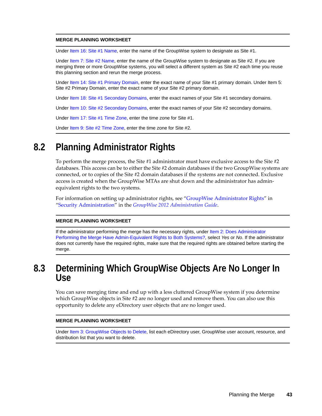#### **MERGE PLANNING WORKSHEET**

Under Item 16: Site #1 Name, enter the name of the GroupWise system to designate as Site #1.

Unde[r Item 7: Site #2 Name](#page-49-0), enter the name of the GroupWise system to designate as Site #2. If you are merging three or more GroupWise systems, you will select a different system as Site #2 each time you reuse this planning section and rerun the merge process.

Under [Item 14: Site #1 Primary Domain,](#page-50-0) enter the exact name of your Site #1 primary domain. Under Item 5: Site #2 Primary Domain, enter the exact name of your Site #2 primary domain.

Under [Item 18: Site #1 Secondary Domains](#page-51-0), enter the exact names of your Site #1 secondary domains.

Under [Item 10: Site #2 Secondary Domains](#page-49-1), enter the exact names of your Site #2 secondary domains.

Under [Item 17: Site #1 Time Zone](#page-50-1), enter the time zone for Site #1.

Unde[r Item 9: Site #2 Time Zone](#page-49-2), enter the time zone for Site #2.

## <span id="page-42-0"></span>**8.2 Planning Administrator Rights**

To perform the merge process, the Site #1 administrator must have exclusive access to the Site #2 databases. This access can be to either the Site #2 domain databases if the two GroupWise systems are connected, or to copies of the Site #2 domain databases if the systems are not connected. Exclusive access is created when the GroupWise MTAs are shut down and the administrator has admin‐ equivalent rights to the two systems.

For information on setting up administrator rights, see "GroupWise Administrator Rights" in "Security Administration" in the *GroupWise 2012 Administration Guide*.

#### **MERGE PLANNING WORKSHEET**

If the administrator performing the merge has the necessary rights, under Item 2: Does Administrator [Performing the Merge Have Admin-Equivalent Rights to Both Systems?](#page-48-1), select *Yes* or *No*. If the administrator does not currently have the required rights, make sure that the required rights are obtained before starting the merge.

### <span id="page-42-1"></span>**8.3 Determining Which GroupWise Objects Are No Longer In Use**

You can save merging time and end up with a less cluttered GroupWise system if you determine which GroupWise objects in Site #2 are no longer used and remove them. You can also use this opportunity to delete any eDirectory user objects that are no longer used.

#### **MERGE PLANNING WORKSHEET**

Under Item 3: GroupWise Objects to Delete, list each eDirectory user, GroupWise user account, resource, and distribution list that you want to delete.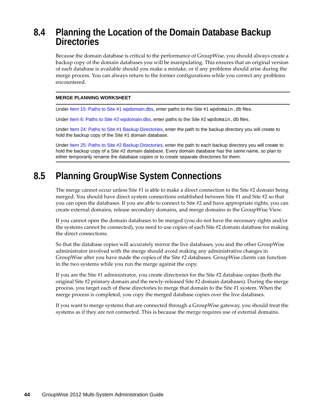## <span id="page-43-0"></span>**8.4 Planning the Location of the Domain Database Backup Directories**

Because the domain database is critical to the performance of GroupWise, you should always create a backup copy of the domain databases you will be manipulating. This ensures that an original version of each database is available should you make a mistake, or if any problems should arise during the merge process. You can always return to the former configurations while you correct any problems encountered.

#### **MERGE PLANNING WORKSHEET**

Unde[r Item 15: Paths to Site #1 wpdomain.dbs,](#page-50-2) enter paths to the Site #1 wpdomain.db files.

Under [Item 6: Paths to Site #2 wpdomain.dbs,](#page-48-2) enter paths to the Site #2 wpdomain.db files.

Under [Item 24: Paths to Site #1 Backup Directories](#page-52-0), enter the path to the backup directory you will create to hold the backup copy of the Site #1 domain database.

Under [Item 25: Paths to Site #2 Backup Directories](#page-52-1), enter the path to each backup directory you will create to hold the backup copy of a Site #2 domain database. Every domain database has the same name, so plan to either temporarily rename the database copies or to create separate directories for them.

# <span id="page-43-1"></span>**8.5 Planning GroupWise System Connections**

The merge cannot occur unless Site #1 is able to make a direct connection to the Site #2 domain being merged. You should have direct system connections established between Site #1 and Site #2 so that you can open the databases. If you are able to connect to Site #2 and have appropriate rights, you can create external domains, release secondary domains, and merge domains in the GroupWise View.

If you cannot open the domain databases to be merged (you do not have the necessary rights and/or the systems cannot be connected), you need to use copies of each Site #2 domain database for making the direct connections.

So that the database copies will accurately mirror the live databases, you and the other GroupWise administrator involved with the merge should avoid making any administrative changes in GroupWise after you have made the copies of the Site #2 databases. GroupWise clients can function in the two systems while you run the merge against the copy.

If you are the Site #1 administrator, you create directories for the Site #2 database copies (both the original Site #2 primary domain and the newly-released Site #2 domain databases). During the merge process, you target each of these directories to merge that domain to the Site #1 system. When the merge process is completed, you copy the merged database copies over the live databases.

If you want to merge systems that are connected through a GroupWise gateway, you should treat the systems as if they are not connected. This is because the merge requires use of external domains.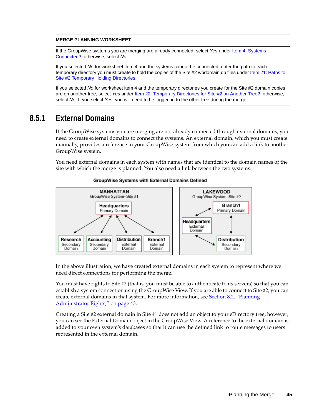#### **MERGE PLANNING WORKSHEET**

If the GroupWise systems you are merging are already connected, select *Yes* under [Item 4: Systems](#page-48-3)  [Connected?](#page-48-3); otherwise, select *No*.

If you selected *No* for worksheet item 4 and the systems cannot be connected, enter the path to each temporary directory you must create to hold the copies of the Site #2 wpdomain.db files under Item 21: Paths to [Site #2 Temporary Holding Directories](#page-51-1).

If you selected *No* for worksheet item 4 and the temporary directories you create for the Site #2 domain copies are on another tree, select *Yes* under [Item 22: Temporary Directories for Site #2 on Another Tree?;](#page-51-2) otherwise, select *No*. If you select *Yes*, you will need to be logged in to the other tree during the merge.

#### <span id="page-44-0"></span>**8.5.1 External Domains**

If the GroupWise systems you are merging are not already connected through external domains, you need to create external domains to connect the systems. An external domain, which you must create manually, provides a reference in your GroupWise system from which you can add a link to another GroupWise system.

You need external domains in each system with names that are identical to the domain names of the site with which the merge is planned. You also need a link between the two systems.



#### GroupWise Systems with External Domains Defined

In the above illustration, we have created external domains in each system to represent where we need direct connections for performing the merge.

You must have rights to Site #2 (that is, you must be able to authenticate to its servers) so that you can establish a system connection using the GroupWise View. If you are able to connect to Site #2, you can create external domains in that system. For more information, see [Section 8.2,](#page-42-0) "Planning [Administrator](#page-42-0) Rights," on page 43.

Creating a Site #2 external domain in Site #1 does not add an object to your eDirectory tree; however, you can see the External Domain object in the GroupWise View. A reference to the external domain is added to your own system's databases so that it can use the defined link to route messages to users represented in the external domain.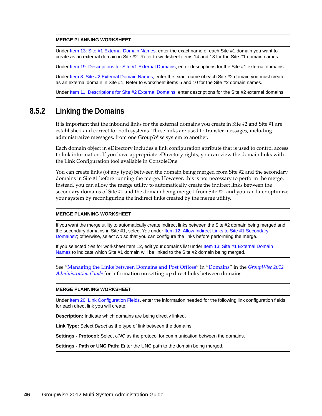#### **MERGE PLANNING WORKSHEET**

Under Item 13: Site #1 External Domain Names, enter the exact name of each Site #1 domain you want to create as an external domain in Site #2. Refer to worksheet items 14 and 18 for the Site #1 domain names.

Under [Item 19: Descriptions for Site #1 External Domains](#page-51-3), enter descriptions for the Site #1 external domains.

Under [Item 8: Site #2 External Domain Names,](#page-49-3) enter the exact name of each Site #2 domain you must create as an external domain in Site #1. Refer to worksheet items 5 and 10 for the Site #2 domain names.

Under [Item 11: Descriptions for Site #2 External Domains,](#page-49-4) enter descriptions for the Site #2 external domains.

#### <span id="page-45-0"></span>**8.5.2 Linking the Domains**

It is important that the inbound links for the external domains you create in Site #2 and Site #1 are established and correct for both systems. These links are used to transfer messages, including administrative messages, from one GroupWise system to another.

Each domain object in eDirectory includes a link configuration attribute that is used to control access to link information. If you have appropriate eDirectory rights, you can view the domain links with the Link Configuration tool available in ConsoleOne.

You can create links (of any type) between the domain being merged from Site #2 and the secondary domains in Site #1 before running the merge. However, this is not necessary to perform the merge. Instead, you can allow the merge utility to automatically create the indirect links between the secondary domains of Site #1 and the domain being merged from Site #2, and you can later optimize your system by reconfiguring the indirect links created by the merge utility.

#### **MERGE PLANNING WORKSHEET**

If you want the merge utility to automatically create indirect links between the Site #2 domain being merged and the secondary domains in Site #1, select *Yes* under [Item 12: Allow Indirect Links to Site #1 Secondary](#page-50-3)  [Domains?](#page-50-3); otherwise, select *No* so that you can configure the links before performing the merge.

If you selected *Yes* for worksheet item 12, edit your domains list under [Item 13: Site #1 External Domain](#page-50-4)  [Names](#page-50-4) to indicate which Site #1 domain will be linked to the Site #2 domain being merged.

See "Managing the Links between Domains and Post Offices" in "Domains" in the *GroupWise 2012 Administration Guide* for information on setting up direct links between domains.

#### **MERGE PLANNING WORKSHEET**

Under Item 20: Link Configuration Fields, enter the information needed for the following link configuration fields for each direct link you will create:

**Description:** Indicate which domains are being directly linked.

**Link Type:** Select *Direct* as the type of link between the domains.

**Settings - Protocol:** Select *UNC* as the protocol for communication between the domains.

**Settings - Path or UNC Path:** Enter the UNC path to the domain being merged.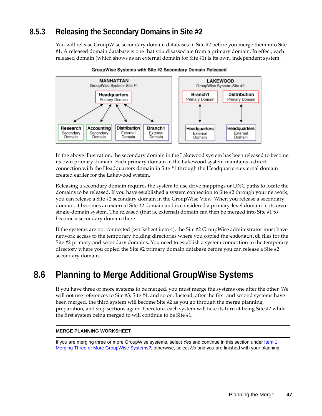### <span id="page-46-0"></span>**8.5.3 Releasing the Secondary Domains in Site #2**

You will release GroupWise secondary domain databases in Site #2 before you merge them into Site #1. A released domain database is one that you disassociate from a primary domain. In effect, each released domain (which shows as an external domain for Site #1) is its own, independent system.



GroupWise Systems with Site #2 Secondary Domain Released

In the above illustration, the secondary domain in the Lakewood system has been released to become its own primary domain. Each primary domain in the Lakewood system maintains a direct connection with the Headquarters domain in Site #1 through the Headquarters external domain created earlier for the Lakewood system.

Releasing a secondary domain requires the system to use drive mappings or UNC paths to locate the domains to be released. If you have established a system connection to Site #2 through your network, you can release a Site #2 secondary domain in the GroupWise View. When you release a secondary domain, it becomes an external Site #2 domain and is considered a primary‐level domain in its own single-domain system. The released (that is, external) domain can then be merged into Site #1 to become a secondary domain there.

If the systems are not connected (worksheet item 4), the Site #2 GroupWise administrator must have network access to the temporary holding directories where you copied the wpdomain.db files for the Site #2 primary and secondary domains. You need to establish a system connection to the temporary directory where you copied the Site #2 primary domain database before you can release a Site #2 secondary domain.

### <span id="page-46-1"></span>**8.6 Planning to Merge Additional GroupWise Systems**

If you have three or more systems to be merged, you must merge the systems one after the other. We will not use references to Site #3, Site #4, and so on. Instead, after the first and second systems have been merged, the third system will become Site #2 as you go through the merge planning, preparation, and step sections again. Therefore, each system will take its turn at being Site #2 while the first system being merged to will continue to be Site #1.

#### **MERGE PLANNING WORKSHEET**

If you are merging three or more GroupWise systems, select *Yes* and continue in this section under [Item 1:](#page-48-4)  [Merging Three or More GroupWise Systems?](#page-48-4); otherwise, select *No* and you are finished with your planning.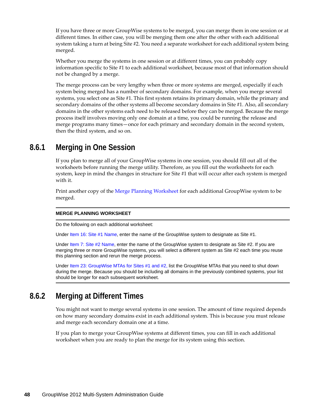If you have three or more GroupWise systems to be merged, you can merge them in one session or at different times. In either case, you will be merging them one after the other with each additional system taking a turn at being Site #2. You need a separate worksheet for each additional system being merged.

Whether you merge the systems in one session or at different times, you can probably copy information specific to Site #1 to each additional worksheet, because most of that information should not be changed by a merge.

The merge process can be very lengthy when three or more systems are merged, especially if each system being merged has a number of secondary domains. For example, when you merge several systems, you select one as Site #1. This first system retains its primary domain, while the primary and secondary domains of the other systems all become secondary domains in Site #1. Also, all secondary domains in the other systems each need to be released before they can be merged. Because the merge process itself involves moving only one domain at a time, you could be running the release and merge programs many times—once for each primary and secondary domain in the second system, then the third system, and so on.

#### <span id="page-47-0"></span>**8.6.1 Merging in One Session**

If you plan to merge all of your GroupWise systems in one session, you should fill out all of the worksheets before running the merge utility. Therefore, as you fill out the worksheets for each system, keep in mind the changes in structure for Site #1 that will occur after each system is merged with it.

Print another copy of the Merge Planning [Worksheet](#page-48-0) for each additional GroupWise system to be merged.

#### **MERGE PLANNING WORKSHEET**

Do the following on each additional worksheet:

Under [Item 16: Site #1 Name](#page-50-5), enter the name of the GroupWise system to designate as Site #1.

Unde[r Item 7: Site #2 Name](#page-49-0), enter the name of the GroupWise system to designate as Site #2. If you are merging three or more GroupWise systems, you will select a different system as Site #2 each time you reuse this planning section and rerun the merge process.

Under [Item 23: GroupWise MTAs for Sites #1 and #2,](#page-52-2) list the GroupWise MTAs that you need to shut down during the merge. Because you should be including all domains in the previously combined systems, your list should be longer for each subsequent worksheet.

#### <span id="page-47-1"></span>**8.6.2 Merging at Different Times**

You might not want to merge several systems in one session. The amount of time required depends on how many secondary domains exist in each additional system. This is because you must release and merge each secondary domain one at a time.

If you plan to merge your GroupWise systems at different times, you can fill in each additional worksheet when you are ready to plan the merge for its system using this section.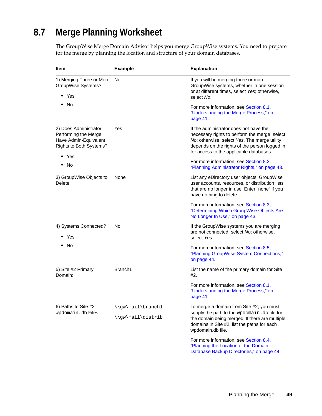# <span id="page-48-0"></span>**8.7 Merge Planning Worksheet**

The GroupWise Merge Domain Advisor helps you merge GroupWise systems. You need to prepare for the merge by planning the location and structure of your domain databases.

<span id="page-48-6"></span><span id="page-48-5"></span><span id="page-48-4"></span><span id="page-48-3"></span><span id="page-48-2"></span><span id="page-48-1"></span>

| <b>Item</b>                                                                                       | <b>Example</b>                         | <b>Explanation</b>                                                                                                                                                                                                                  |
|---------------------------------------------------------------------------------------------------|----------------------------------------|-------------------------------------------------------------------------------------------------------------------------------------------------------------------------------------------------------------------------------------|
| 1) Merging Three or More<br>GroupWise Systems?<br>Yes<br>٠                                        | No                                     | If you will be merging three or more<br>GroupWise systems, whether in one session<br>or at different times, select Yes; otherwise,<br>select No.                                                                                    |
| No                                                                                                |                                        | For more information, see Section 8.1,<br>"Understanding the Merge Process," on<br>page 41.                                                                                                                                         |
| 2) Does Administrator<br>Performing the Merge<br>Have Admin-Equivalent<br>Rights to Both Systems? | Yes                                    | If the administrator does not have the<br>necessary rights to perform the merge, select<br>No; otherwise, select Yes. The merge utility<br>depends on the rights of the person logged in<br>for access to the applicable databases. |
| Yes<br>٠<br>No                                                                                    |                                        | For more information, see Section 8.2,<br>"Planning Administrator Rights," on page 43.                                                                                                                                              |
| 3) GroupWise Objects to<br>Delete:                                                                | None                                   | List any eDirectory user objects, GroupWise<br>user accounts, resources, or distribution lists<br>that are no longer in use. Enter "none" if you<br>have nothing to delete.                                                         |
|                                                                                                   |                                        | For more information, see Section 8.3,<br>"Determining Which GroupWise Objects Are<br>No Longer In Use," on page 43.                                                                                                                |
| 4) Systems Connected?<br>Yes                                                                      | No                                     | If the GroupWise systems you are merging<br>are not connected, select No; otherwise,<br>select Yes.                                                                                                                                 |
| No                                                                                                |                                        | For more information, see Section 8.5,<br>"Planning GroupWise System Connections,"<br>on page 44.                                                                                                                                   |
| 5) Site #2 Primary<br>Domain:                                                                     | Branch1                                | List the name of the primary domain for Site<br>#2.                                                                                                                                                                                 |
|                                                                                                   |                                        | For more information, see Section 8.1,<br>"Understanding the Merge Process," on<br>page 41.                                                                                                                                         |
| 6) Paths to Site #2<br>wpdomain.db Files:                                                         | \\gw\mail\branch1<br>\\gw\mail\distrib | To merge a domain from Site #2, you must<br>supply the path to the wpdomain.db file for<br>the domain being merged. If there are multiple<br>domains in Site #2, list the paths for each<br>wpdomain.db file.                       |
|                                                                                                   |                                        | For more information, see Section 8.4,<br>"Planning the Location of the Domain<br>Database Backup Directories," on page 44.                                                                                                         |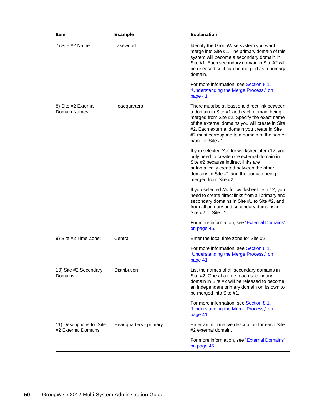<span id="page-49-4"></span><span id="page-49-3"></span><span id="page-49-2"></span><span id="page-49-1"></span><span id="page-49-0"></span>

| <b>Item</b>                                       | <b>Example</b>         | <b>Explanation</b>                                                                                                                                                                                                                                                                                             |
|---------------------------------------------------|------------------------|----------------------------------------------------------------------------------------------------------------------------------------------------------------------------------------------------------------------------------------------------------------------------------------------------------------|
| 7) Site #2 Name:                                  | Lakewood               | Identify the GroupWise system you want to<br>merge into Site #1. The primary domain of this<br>system will become a secondary domain in<br>Site #1. Each secondary domain in Site #2 will<br>be released so it can be merged as a primary<br>domain.                                                           |
|                                                   |                        | For more information, see Section 8.1,<br>"Understanding the Merge Process," on<br>page 41.                                                                                                                                                                                                                    |
| 8) Site #2 External<br>Domain Names:              | Headquarters           | There must be at least one direct link between<br>a domain in Site #1 and each domain being<br>merged from Site #2. Specify the exact name<br>of the external domains you will create in Site<br>#2. Each external domain you create in Site<br>#2 must correspond to a domain of the same<br>name in Site #1. |
|                                                   |                        | If you selected Yes for worksheet item 12, you<br>only need to create one external domain in<br>Site #2 because indirect links are<br>automatically created between the other<br>domains in Site #1 and the domain being<br>merged from Site #2.                                                               |
|                                                   |                        | If you selected No for worksheet item 12, you<br>need to create direct links from all primary and<br>secondary domains in Site #1 to Site #2, and<br>from all primary and secondary domains in<br>Site $#2$ to Site $#1$ .                                                                                     |
|                                                   |                        | For more information, see "External Domains"<br>on page 45.                                                                                                                                                                                                                                                    |
| 9) Site #2 Time Zone:                             | Central                | Enter the local time zone for Site #2.                                                                                                                                                                                                                                                                         |
|                                                   |                        | For more information, see Section 8.1,<br>"Understanding the Merge Process," on<br>page 41.                                                                                                                                                                                                                    |
| 10) Site #2 Secondary<br>Domains:                 | Distribution           | List the names of all secondary domains in<br>Site #2. One at a time, each secondary<br>domain in Site #2 will be released to become<br>an independent primary domain on its own to<br>be merged into Site #1.                                                                                                 |
|                                                   |                        | For more information, see Section 8.1,<br>"Understanding the Merge Process," on<br>page 41.                                                                                                                                                                                                                    |
| 11) Descriptions for Site<br>#2 External Domains: | Headquarters - primary | Enter an informative description for each Site<br>#2 external domain.                                                                                                                                                                                                                                          |
|                                                   |                        | For more information, see "External Domains"<br>on page 45.                                                                                                                                                                                                                                                    |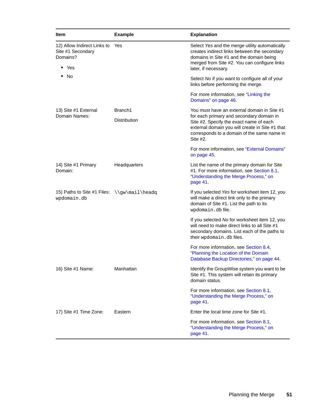<span id="page-50-5"></span><span id="page-50-4"></span><span id="page-50-3"></span><span id="page-50-2"></span><span id="page-50-1"></span><span id="page-50-0"></span>

| <b>Item</b>                                                                   | <b>Example</b>                 | <b>Explanation</b>                                                                                                                                                                                                                               |
|-------------------------------------------------------------------------------|--------------------------------|--------------------------------------------------------------------------------------------------------------------------------------------------------------------------------------------------------------------------------------------------|
| 12) Allow Indirect Links to<br>Site #1 Secondary<br>Domains?<br>$\bullet$ Yes | Yes                            | Select Yes and the merge utility automatically<br>creates indirect links between the secondary<br>domains in Site #1 and the domain being<br>merged from Site #2. You can configure links<br>later, if necessary.                                |
| ◆ No                                                                          |                                | Select No if you want to configure all of your<br>links before performing the merge.                                                                                                                                                             |
|                                                                               |                                | For more information, see "Linking the<br>Domains" on page 46.                                                                                                                                                                                   |
| 13) Site #1 External<br>Domain Names:                                         | Branch1<br><b>Distribution</b> | You must have an external domain in Site #1<br>for each primary and secondary domain in<br>Site #2. Specify the exact name of each<br>external domain you will create in Site #1 that<br>corresponds to a domain of the same name in<br>Site #2. |
|                                                                               |                                | For more information, see "External Domains"<br>on page 45.                                                                                                                                                                                      |
| 14) Site #1 Primary<br>Domain:                                                | Headquarters                   | List the name of the primary domain for Site<br>#1. For more information, see Section 8.1,<br>"Understanding the Merge Process," on<br>page 41.                                                                                                  |
| 15) Paths to Site #1 Files: \\gw\mail\headq<br>wpdomain.db                    |                                | If you selected Yes for worksheet item 12, you<br>will make a direct link only to the primary<br>domain of Site #1. List the path to its<br>wpdomain.dbfile.                                                                                     |
|                                                                               |                                | If you selected No for worksheet item 12, you<br>will need to make direct links to all Site #1<br>secondary domains. List each of the paths to<br>their wpdomain.db files.                                                                       |
|                                                                               |                                | For more information, see Section 8.4,<br>"Planning the Location of the Domain<br>Database Backup Directories," on page 44.                                                                                                                      |
| 16) Site #1 Name:                                                             | Manhattan                      | Identify the GroupWise system you want to be<br>Site #1. This system will retain its primary<br>domain status.                                                                                                                                   |
|                                                                               |                                | For more information, see Section 8.1,<br>"Understanding the Merge Process," on<br>page 41.                                                                                                                                                      |
| 17) Site #1 Time Zone:                                                        | Eastern                        | Enter the local time zone for Site #1.                                                                                                                                                                                                           |
|                                                                               |                                | For more information, see Section 8.1,<br>"Understanding the Merge Process," on<br>page 41.                                                                                                                                                      |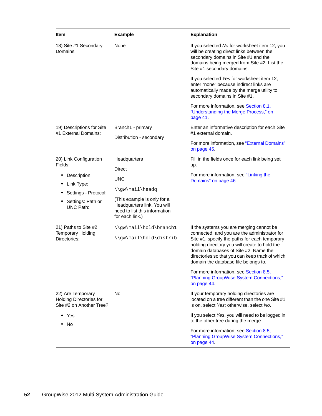<span id="page-51-4"></span><span id="page-51-3"></span><span id="page-51-2"></span><span id="page-51-1"></span><span id="page-51-0"></span>

| Item                                                                                                                                                                                                           | <b>Example</b>                                                                                                                                                                                                         | <b>Explanation</b>                                                                                                                                                                                                                                                                                                                                                                                                                                                                                   |
|----------------------------------------------------------------------------------------------------------------------------------------------------------------------------------------------------------------|------------------------------------------------------------------------------------------------------------------------------------------------------------------------------------------------------------------------|------------------------------------------------------------------------------------------------------------------------------------------------------------------------------------------------------------------------------------------------------------------------------------------------------------------------------------------------------------------------------------------------------------------------------------------------------------------------------------------------------|
| 18) Site #1 Secondary<br>Domains:                                                                                                                                                                              | None                                                                                                                                                                                                                   | If you selected No for worksheet item 12, you<br>will be creating direct links between the<br>secondary domains in Site #1 and the<br>domains being merged from Site #2. List the<br>Site #1 secondary domains.                                                                                                                                                                                                                                                                                      |
|                                                                                                                                                                                                                |                                                                                                                                                                                                                        | If you selected Yes for worksheet item 12,<br>enter "none" because indirect links are<br>automatically made by the merge utility to<br>secondary domains in Site #1.                                                                                                                                                                                                                                                                                                                                 |
|                                                                                                                                                                                                                |                                                                                                                                                                                                                        | For more information, see Section 8.1,<br>"Understanding the Merge Process," on<br>page 41.                                                                                                                                                                                                                                                                                                                                                                                                          |
| 19) Descriptions for Site<br>#1 External Domains:                                                                                                                                                              | Branch1 - primary<br>Distribution - secondary                                                                                                                                                                          | Enter an informative description for each Site<br>#1 external domain.                                                                                                                                                                                                                                                                                                                                                                                                                                |
|                                                                                                                                                                                                                |                                                                                                                                                                                                                        | For more information, see "External Domains"<br>on page 45.                                                                                                                                                                                                                                                                                                                                                                                                                                          |
| 20) Link Configuration<br>Fields:<br>Description:<br>Link Type:<br>٠<br>Settings - Protocol:<br>Settings: Path or<br>٠<br><b>UNC Path:</b><br>21) Paths to Site #2<br><b>Temporary Holding</b><br>Directories: | Headquarters<br>Direct<br>UNC<br>\\gw\mail\headq<br>(This example is only for a<br>Headquarters link. You will<br>need to list this information<br>for each link.)<br>\\gw\mail\hold\branch1<br>\\gw\mail\hold\distrib | Fill in the fields once for each link being set<br>up.<br>For more information, see "Linking the<br>Domains" on page 46.<br>If the systems you are merging cannot be<br>connected, and you are the administrator for<br>Site #1, specify the paths for each temporary<br>holding directory you will create to hold the<br>domain databases of Site #2. Name the<br>directories so that you can keep track of which<br>domain the database file belongs to.<br>For more information, see Section 8.5, |
| 22) Are Temporary<br><b>Holding Directories for</b><br>Site #2 on Another Tree?<br>Yes                                                                                                                         | No                                                                                                                                                                                                                     | "Planning GroupWise System Connections,"<br>on page 44.<br>If your temporary holding directories are<br>located on a tree different than the one Site #1<br>is on, select Yes; otherwise, select No.<br>If you select Yes, you will need to be logged in                                                                                                                                                                                                                                             |
| No                                                                                                                                                                                                             |                                                                                                                                                                                                                        | to the other tree during the merge.<br>For more information, see Section 8.5,<br>"Planning GroupWise System Connections,"<br>on page 44.                                                                                                                                                                                                                                                                                                                                                             |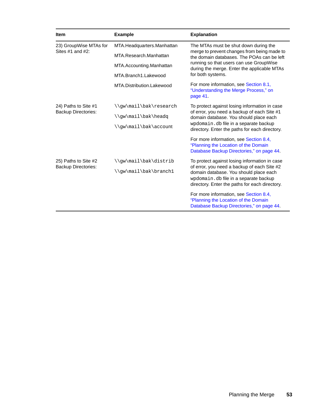<span id="page-52-2"></span><span id="page-52-1"></span><span id="page-52-0"></span>

| <b>Item</b>                                     | <b>Example</b>             | <b>Explanation</b>                                                                                                                                                                  |  |
|-------------------------------------------------|----------------------------|-------------------------------------------------------------------------------------------------------------------------------------------------------------------------------------|--|
| 23) GroupWise MTAs for<br>Sites $#1$ and $#2$ : | MTA.Headquarters.Manhattan | The MTAs must be shut down during the                                                                                                                                               |  |
|                                                 | MTA Research Manhattan     | merge to prevent changes from being made to<br>the domain databases. The POAs can be left<br>running so that users can use GroupWise<br>during the merge. Enter the applicable MTAs |  |
|                                                 | MTA.Accounting.Manhattan   |                                                                                                                                                                                     |  |
|                                                 | MTA.Branch1.Lakewood       | for both systems.                                                                                                                                                                   |  |
|                                                 | MTA.Distribution.Lakewood  | For more information, see Section 8.1,<br>"Understanding the Merge Process," on<br>page 41.                                                                                         |  |
| 24) Paths to Site #1                            | \\qw\mail\bak\research     | To protect against losing information in case                                                                                                                                       |  |
| <b>Backup Directories:</b>                      | \\qw\mail\bak\headq        | of error, you need a backup of each Site #1<br>domain database. You should place each                                                                                               |  |
|                                                 | \\gw\mail\bak\account      | wpdomain.db file in a separate backup<br>directory. Enter the paths for each directory.                                                                                             |  |
|                                                 |                            | For more information, see Section 8.4,<br>"Planning the Location of the Domain<br>Database Backup Directories," on page 44.                                                         |  |
| 25) Paths to Site #2                            | \\qw\mail\bak\distrib      | To protect against losing information in case                                                                                                                                       |  |
| <b>Backup Directories:</b>                      | \\gw\mail\bak\branch1      | of error, you need a backup of each Site #2<br>domain database. You should place each<br>wpdomain.db file in a separate backup<br>directory. Enter the paths for each directory.    |  |
|                                                 |                            | For more information, see Section 8.4,<br>"Planning the Location of the Domain<br>Database Backup Directories," on page 44.                                                         |  |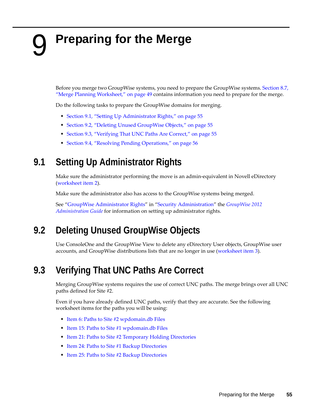# <span id="page-54-4"></span><span id="page-54-0"></span>9 **Preparing for the Merge**

Before you merge two GroupWise systems, you need to prepare the GroupWise systems. [Section 8.7,](#page-48-0) "Merge Planning [Worksheet,"](#page-48-0) on page 49 contains information you need to prepare for the merge.

Do the following tasks to prepare the GroupWise domains for merging.

- Section 9.1, "Setting Up [Administrator](#page-54-1) Rights," on page 55
- Section 9.2, "Deleting Unused [GroupWise](#page-54-2) Objects," on page 55
- [Section 9.3,](#page-54-3) "Verifying That UNC Paths Are Correct," on page 55
- Section 9.4, "Resolving Pending [Operations,"](#page-55-0) on page 56

# <span id="page-54-1"></span>**9.1 Setting Up Administrator Rights**

Make sure the administrator performing the move is an admin-equivalent in Novell eDirectory [\(worksheet](#page-48-1) item 2).

Make sure the administrator also has access to the GroupWise systems being merged.

See "GroupWise Administrator Rights" in "Security Administration" the *GroupWise 2012 Administration Guide* for information on setting up administrator rights.

# <span id="page-54-2"></span>**9.2 Deleting Unused GroupWise Objects**

Use ConsoleOne and the GroupWise View to delete any eDirectory User objects, GroupWise user accounts, and GroupWise distributions lists that are no longer in use [\(worksheet](#page-48-5) item 3).

# <span id="page-54-3"></span>**9.3 Verifying That UNC Paths Are Correct**

Merging GroupWise systems requires the use of correct UNC paths. The merge brings over all UNC paths defined for Site #2.

Even if you have already defined UNC paths, verify that they are accurate. See the following worksheet items for the paths you will be using:

- Item 6: Paths to Site #2 [wpdomain.db](#page-48-2) Files
- Item 15: Paths to Site #1 [wpdomain.db](#page-50-2) Files
- Item 21: Paths to Site #2 [Temporary](#page-51-1) Holding Directories
- Item 24: Paths to Site #1 Backup [Directories](#page-52-0)
- Item 25: Paths to Site #2 Backup [Directories](#page-52-1)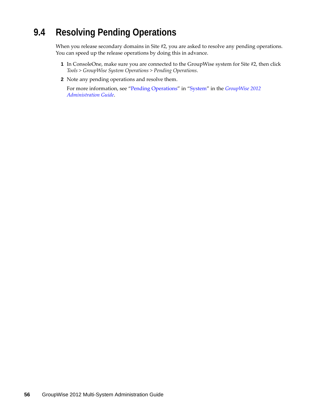# <span id="page-55-0"></span>**9.4 Resolving Pending Operations**

When you release secondary domains in Site #2, you are asked to resolve any pending operations. You can speed up the release operations by doing this in advance.

- **1** In ConsoleOne, make sure you are connected to the GroupWise system for Site #2, then click *Tools > GroupWise System Operations > Pending Operations*.
- **2** Note any pending operations and resolve them.

For more information, see "Pending Operations" in "System" in the *GroupWise 2012 Administration Guide*.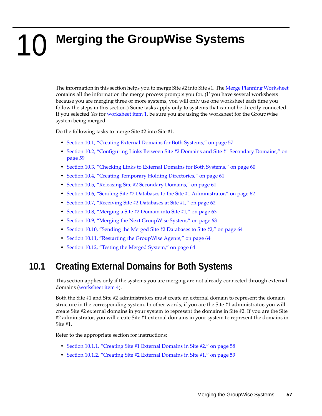# <span id="page-56-2"></span><span id="page-56-0"></span>10 **Merging the GroupWise Systems**

The information in this section helps you to merge Site #2 into Site #1. The Merge Planning [Worksheet](#page-48-0) contains all the information the merge process prompts you for. (If you have several worksheets because you are merging three or more systems, you will only use one worksheet each time you follow the steps in this section.) Some tasks apply only to systems that cannot be directly connected. If you selected *Yes* for [worksheet](#page-48-4) item 1, be sure you are using the worksheet for the GroupWise system being merged.

Do the following tasks to merge Site #2 into Site #1.

- [Section 10.1,](#page-56-1) "Creating External Domains for Both Systems," on page 57
- Section 10.2, ["Configuring](#page-58-1) Links Between Site #2 Domains and Site #1 Secondary Domains," on [page 59](#page-58-1)
- [Section 10.3,](#page-59-0) "Checking Links to External Domains for Both Systems," on page 60
- Section 10.4, "Creating Temporary Holding [Directories,"](#page-60-0) on page 61
- [Section 10.5,](#page-60-1) "Releasing Site #2 Secondary Domains," on page 61
- Section 10.6, "Sending Site #2 Databases to the Site #1 [Administrator,"](#page-61-0) on page 62
- [Section 10.7,](#page-61-1) "Receiving Site #2 Databases at Site #1," on page 62
- [Section 10.8,](#page-62-0) "Merging a Site #2 Domain into Site #1," on page 63
- [Section 10.9,](#page-62-1) "Merging the Next GroupWise System," on page 63
- [Section 10.10,](#page-63-0) "Sending the Merged Site #2 Databases to Site #2," on page 64
- [Section 10.11,](#page-63-1) "Restarting the GroupWise Agents," on page 64
- [Section 10.12,](#page-63-2) "Testing the Merged System," on page 64

## <span id="page-56-1"></span>**10.1 Creating External Domains for Both Systems**

This section applies only if the systems you are merging are not already connected through external domains [\(worksheet](#page-48-3) item 4).

Both the Site #1 and Site #2 administrators must create an external domain to represent the domain structure in the corresponding system. In other words, if you are the Site #1 administrator, you will create Site #2 external domains in your system to represent the domains in Site #2. If you are the Site #2 administrator, you will create Site #1 external domains in your system to represent the domains in Site #1.

Refer to the appropriate section for instructions:

- [Section 10.1.1,](#page-57-0) "Creating Site #1 External Domains in Site #2," on page 58
- [Section 10.1.2,](#page-58-0) "Creating Site #2 External Domains in Site #1," on page 59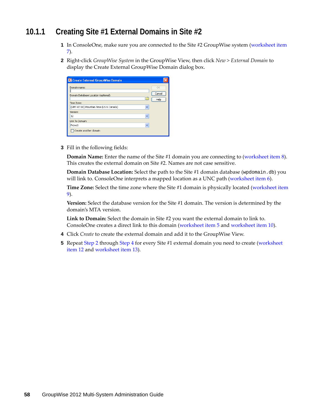### <span id="page-57-0"></span>**10.1.1 Creating Site #1 External Domains in Site #2**

- **1** In ConsoleOne, make sure you are connected to the Site #2 GroupWise system (worksheet item 7).
- <span id="page-57-1"></span>**2** Right‐click *GroupWise System* in the GroupWise View, then click *New > External Domain* to display the Create External GroupWise Domain dialog box.

| C Create External GroupWise Domain                                    |                |
|-----------------------------------------------------------------------|----------------|
| Domain name:                                                          | OK             |
| Domain Database Location (optional):                                  | Cancel<br>Help |
| Time Zone:<br>(GMT-07:00) Mountain Time (US & Canada)<br>$\checkmark$ |                |
| Version:                                                              |                |
| 12<br>v                                                               |                |
| Link To Domain:                                                       |                |
| Provo1<br>$\checkmark$                                                |                |
| Create another domain                                                 |                |

**3** Fill in the following fields:

**Domain Name:** Enter the name of the Site #1 domain you are connecting to ([worksheet](#page-49-3) item 8). This creates the external domain on Site #2. Names are not case sensitive.

**Domain Database Location:** Select the path to the Site #1 domain database (wpdomain.db) you will link to. ConsoleOne interprets a mapped location as a UNC path [\(worksheet](#page-48-2) item 6).

**Time Zone:** Select the time zone where the Site #1 domain is physically located [\(worksheet](#page-49-2) item [9](#page-49-2)).

**Version:** Select the database version for the Site #1 domain. The version is determined by the domain's MTA version.

**Link to Domain:** Select the domain in Site #2 you want the external domain to link to. ConsoleOne creates a direct link to this domain ([worksheet](#page-48-6) item 5 and [worksheet](#page-49-1) item 10).

- <span id="page-57-2"></span>**4** Click *Create* to create the external domain and add it to the GroupWise View.
- **5** Repeat [Step 2](#page-57-1) through [Step 4](#page-57-2) for every Site #1 external domain you need to create ([worksheet](#page-50-3) [item](#page-50-3) 12 and worksheet item 13).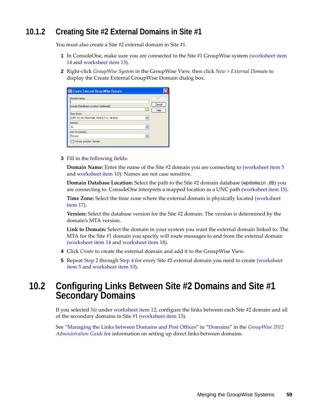### <span id="page-58-0"></span>**10.1.2 Creating Site #2 External Domains in Site #1**

You must also create a Site #2 external domain in Site #1.

- **1** In ConsoleOne, make sure you are connected to the Site #1 GroupWise system ([worksheet](#page-50-0) item [14](#page-50-0) and worksheet item 15).
- <span id="page-58-2"></span>**2** Right‐click *GroupWise System* in the GroupWise View, then click *New > External Domain* to display the Create External GroupWise Domain dialog box.

| C Create External GroupWise Domain                                                                                 |                      |
|--------------------------------------------------------------------------------------------------------------------|----------------------|
| Domain name:<br>Domain Database Location (optional):<br>Time Zone:<br>(GMT-07:00) Mountain Time (US & Canada)<br>v | OK<br>Cancel<br>Help |
| Version:<br>12<br>v                                                                                                |                      |
| Link To Domain:<br>v<br>Provo1<br>Create another domain                                                            |                      |

**3** Fill in the following fields:

**Domain Name:** Enter the name of the Site #2 domain you are connecting to ([worksheet](#page-48-6) item 5 and [worksheet](#page-49-1) item 10). Names are not case sensitive.

**Domain Database Location:** Select the path to the Site #2 domain database (wpdomain.db) you are connecting to. ConsoleOne interprets a mapped location as a UNC path ([worksheet](#page-50-2) item 15).

**Time Zone:** Select the time zone where the external domain is physically located ([worksheet](#page-50-1) [item](#page-50-1) 17).

**Version:** Select the database version for the Site #2 domain. The version is determined by the domain's MTA version.

**Link to Domain:** Select the domain in your system you want the external domain linked to. The MTA for the Site #1 domain you specify will route messages to and from the external domain [\(worksheet](#page-50-0) item 14 and [worksheet](#page-51-0) item 18).

- <span id="page-58-3"></span>**4** Click *Create* to create the external domain and add it to the GroupWise View.
- **5** Repeat [Step 2](#page-58-2) through [Step 4](#page-58-3) for every Site #2 external domain you need to create ([worksheet](#page-48-6) [item](#page-48-6) 5 and worksheet item 10).

# <span id="page-58-1"></span>**10.2 Configuring Links Between Site #2 Domains and Site #1 Secondary Domains**

If you selected *No* under [worksheet](#page-50-3) item 12, configure the links between each Site #2 domain and all of the secondary domains in Site #1 ([worksheet](#page-50-4) item 13).

See "Managing the Links between Domains and Post Offices" in "Domains" in the *GroupWise 2012 Administration Guide* for information on setting up direct links between domains.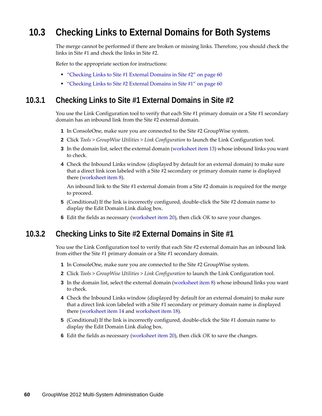# <span id="page-59-0"></span>**10.3 Checking Links to External Domains for Both Systems**

The merge cannot be performed if there are broken or missing links. Therefore, you should check the links in Site #1 and check the links in Site #2.

Refer to the appropriate section for instructions:

- ["Checking](#page-59-1) Links to Site #1 External Domains in Site #2" on page 60
- ["Checking](#page-59-2) Links to Site #2 External Domains in Site #1" on page 60

#### <span id="page-59-1"></span>**10.3.1 Checking Links to Site #1 External Domains in Site #2**

You use the Link Configuration tool to verify that each Site #1 primary domain or a Site #1 secondary domain has an inbound link from the Site #2 external domain.

- **1** In ConsoleOne, make sure you are connected to the Site #2 GroupWise system.
- **2** Click *Tools > GroupWise Utilities > Link Configuration* to launch the Link Configuration tool.
- **3** In the domain list, select the external domain (worksheet item 13) whose inbound links you want to check.
- **4** Check the Inbound Links window (displayed by default for an external domain) to make sure that a direct link icon labeled with a Site #2 secondary or primary domain name is displayed there (worksheet item 8).

An inbound link to the Site #1 external domain from a Site #2 domain is required for the merge to proceed.

- **5** (Conditional) If the link is incorrectly configured, double‐click the Site #2 domain name to display the Edit Domain Link dialog box.
- **6** Edit the fields as necessary [\(worksheet](#page-51-4) item 20), then click *OK* to save your changes.

#### <span id="page-59-2"></span>**10.3.2 Checking Links to Site #2 External Domains in Site #1**

You use the Link Configuration tool to verify that each Site #2 external domain has an inbound link from either the Site #1 primary domain or a Site #1 secondary domain.

- **1** In ConsoleOne, make sure you are connected to the Site #2 GroupWise system.
- **2** Click *Tools > GroupWise Utilities > Link Configuration* to launch the Link Configuration tool.
- **3** In the domain list, select the external domain (worksheet item 8) whose inbound links you want to check.
- **4** Check the Inbound Links window (displayed by default for an external domain) to make sure that a direct link icon labeled with a Site #1 secondary or primary domain name is displayed there [\(worksheet](#page-50-0) item 14 and worksheet item 18).
- **5** (Conditional) If the link is incorrectly configured, double-click the Site #1 domain name to display the Edit Domain Link dialog box.
- **6** Edit the fields as necessary [\(worksheet](#page-51-4) item 20), then click *OK* to save the changes.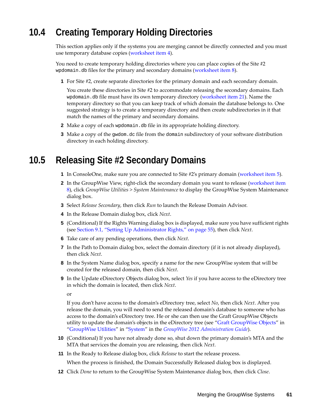# <span id="page-60-0"></span>**10.4 Creating Temporary Holding Directories**

This section applies only if the systems you are merging cannot be directly connected and you must use temporary database copies ([worksheet](#page-48-3) item 4).

You need to create temporary holding directories where you can place copies of the Site #2 wpdomain.db files for the primary and secondary domains [\(worksheet](#page-49-3) item 8).

**1** For Site #2, create separate directories for the primary domain and each secondary domain.

You create these directories in Site #2 to accommodate releasing the secondary domains. Each wpdomain.db file must have its own temporary directory [\(worksheet](#page-51-1) item 21). Name the temporary directory so that you can keep track of which domain the database belongs to. One suggested strategy is to create a temporary directory and then create subdirectories in it that match the names of the primary and secondary domains.

- **2** Make a copy of each wpdomain.db file in its appropriate holding directory.
- **3** Make a copy of the gwdom.dc file from the domain subdirectory of your software distribution directory in each holding directory.

## <span id="page-60-1"></span>**10.5 Releasing Site #2 Secondary Domains**

- **1** In ConsoleOne, make sure you are connected to Site #2's primary domain (worksheet item 5).
- <span id="page-60-2"></span>**2** In the GroupWise View, right-click the secondary domain you want to release [\(worksheet](#page-49-3) item [8\)](#page-49-3), click *GroupWise Utilities > System Maintenance* to display the GroupWise System Maintenance dialog box.
- **3** Select *Release Secondary*, then click *Run* to launch the Release Domain Advisor.
- **4** In the Release Domain dialog box, click *Next*.
- **5** (Conditional) If the Rights Warning dialog box is displayed, make sure you have sufficient rights (see Section 9.1, "Setting Up [Administrator](#page-54-1) Rights," on page 55), then click *Next*.
- **6** Take care of any pending operations, then click *Next*.
- **7** In the Path to Domain dialog box, select the domain directory (if it is not already displayed), then click *Next*.
- **8** In the System Name dialog box, specify a name for the new GroupWise system that will be created for the released domain, then click *Next*.
- **9** In the Update eDirectory Objects dialog box, select *Yes* if you have access to the eDirectory tree in which the domain is located, then click *Next*.

or

If you don't have access to the domain's eDirectory tree, select *No*, then click *Next*. After you release the domain, you will need to send the released domain's database to someone who has access to the domain's eDirectory tree. He or she can then use the Graft GroupWise Objects utility to update the domain's objects in the eDirectory tree (see "Graft GroupWise Objects" in "GroupWise Utilities" in "System" in the *GroupWise 2012 Administration Guide*).

- **10** (Conditional) If you have not already done so, shut down the primary domain's MTA and the MTA that services the domain you are releasing, then click *Next*.
- **11** In the Ready to Release dialog box, click *Release* to start the release process.

When the process is finished, the Domain Successfully Released dialog box is displayed.

**12** Click *Done* to return to the GroupWise System Maintenance dialog box, then click *Close*.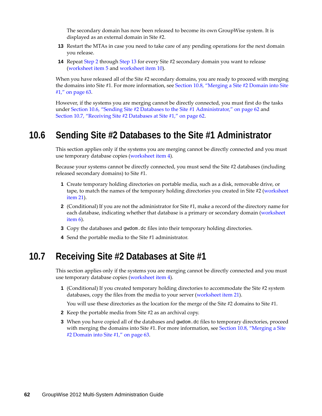The secondary domain has now been released to become its own GroupWise system. It is displayed as an external domain in Site #2.

- <span id="page-61-2"></span>**13** Restart the MTAs in case you need to take care of any pending operations for the next domain you release.
- **14** Repeat [Step 2](#page-60-2) through [Step 13](#page-61-2) for every Site #2 secondary domain you want to release [\(worksheet](#page-48-6) item 5 and worksheet item 10).

When you have released all of the Site #2 secondary domains, you are ready to proceed with merging the domains into Site #1. For more information, see [Section 10.8,](#page-62-0) "Merging a Site #2 Domain into Site #1," on [page 63](#page-62-0).

However, if the systems you are merging cannot be directly connected, you must first do the tasks under Section 10.6, "Sending Site #2 Databases to the Site #1 [Administrator,"](#page-61-0) on page 62 and [Section 10.7,](#page-61-1) "Receiving Site #2 Databases at Site #1," on page 62.

### <span id="page-61-0"></span>**10.6 Sending Site #2 Databases to the Site #1 Administrator**

This section applies only if the systems you are merging cannot be directly connected and you must use temporary database copies ([worksheet](#page-48-3) item 4).

Because your systems cannot be directly connected, you must send the Site #2 databases (including released secondary domains) to Site #1.

- **1** Create temporary holding directories on portable media, such as a disk, removable drive, or tape, to match the names of the temporary holding directories you created in Site #2 (worksheet item 21).
- **2** (Conditional) If you are not the administrator for Site #1, make a record of the directory name for each database, indicating whether that database is a primary or secondary domain (worksheet item 6).
- **3** Copy the databases and gwdom.dc files into their temporary holding directories.
- **4** Send the portable media to the Site #1 administrator.

## <span id="page-61-1"></span>**10.7 Receiving Site #2 Databases at Site #1**

This section applies only if the systems you are merging cannot be directly connected and you must use temporary database copies ([worksheet](#page-48-3) item 4).

**1** (Conditional) If you created temporary holding directories to accommodate the Site #2 system databases, copy the files from the media to your server (worksheet item 21).

You will use these directories as the location for the merge of the Site #2 domains to Site #1.

- **2** Keep the portable media from Site #2 as an archival copy.
- **3** When you have copied all of the databases and gwdom.dc files to temporary directories, proceed with merging the domains into Site #1. For more information, see [Section 10.8,](#page-62-0) "Merging a Site #2 [Domain](#page-62-0) into Site #1," on page 63.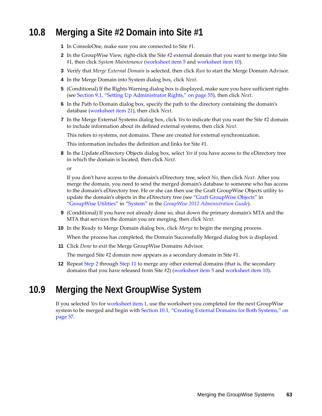# <span id="page-62-0"></span>**10.8 Merging a Site #2 Domain into Site #1**

- **1** In ConsoleOne, make sure you are connected to Site #1.
- <span id="page-62-2"></span>**2** In the GroupWise View, right‐click the Site #2 external domain that you want to merge into Site #1, then click *System Maintenance* [\(worksheet](#page-48-6) item 5 and worksheet item 10).
- **3** Verify that *Merge External Domain* is selected, then click *Run* to start the Merge Domain Advisor.
- **4** In the Merge Domain into System dialog box, click *Next*.
- **5** (Conditional) If the Rights Warning dialog box is displayed, make sure you have sufficient rights (see Section 9.1, "Setting Up [Administrator](#page-54-1) Rights," on page 55), then click *Next*.
- **6** In the Path to Domain dialog box, specify the path to the directory containing the domain's database ([worksheet](#page-51-1) item 21), then click *Next*.
- **7** In the Merge External Systems dialog box, click *Yes* to indicate that you want the Site #2 domain to include information about its defined external systems, then click *Next*.

This refers to systems, not domains. These are created for external synchronization.

This information includes the definition and links for Site #1.

**8** In the Update eDirectory Objects dialog box, select *Yes* if you have access to the eDirectory tree in which the domain is located, then click *Next*.

or

If you don't have access to the domain's eDirectory tree, select *No*, then click *Next*. After you merge the domain, you need to send the merged domain's database to someone who has access to the domain's eDirectory tree. He or she can then use the Graft GroupWise Objects utility to update the domain's objects in the eDirectory tree (see "Graft GroupWise Objects" in "GroupWise Utilities" in "System" in the *GroupWise 2012 Administration Guide*).

- **9** (Conditional) If you have not already done so, shut down the primary domain's MTA and the MTA that services the domain you are merging, then click *Next*.
- **10** In the Ready to Merge Domain dialog box, click *Merge* to begin the merging process. When the process has completed, the Domain Successfully Merged dialog box is displayed.
- <span id="page-62-3"></span>**11** Click *Done* to exit the Merge GroupWise Domains Advisor.

The merged Site #2 domain now appears as a secondary domain in Site #1.

**12** Repeat [Step 2](#page-62-2) through [Step 11](#page-62-3) to merge any other external domains (that is, the secondary domains that you have released from Site #2) [\(worksheet](#page-48-6) item 5 and worksheet item 10).

### <span id="page-62-1"></span>**10.9 Merging the Next GroupWise System**

If you selected *Yes* for [worksheet](#page-48-4) item 1, use the worksheet you completed for the next GroupWise system to be merged and begin with [Section 10.1,](#page-56-1) "Creating External Domains for Both Systems," on [page 57.](#page-56-1)